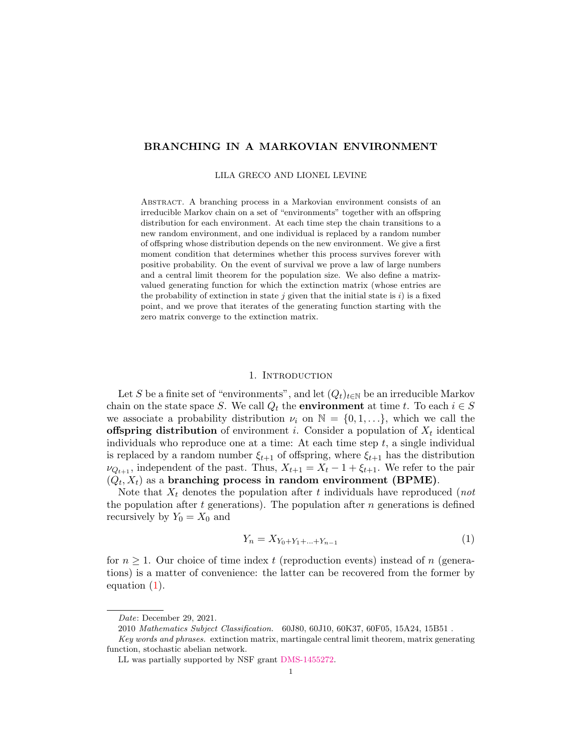# BRANCHING IN A MARKOVIAN ENVIRONMENT

#### LILA GRECO AND LIONEL LEVINE

Abstract. A branching process in a Markovian environment consists of an irreducible Markov chain on a set of "environments" together with an offspring distribution for each environment. At each time step the chain transitions to a new random environment, and one individual is replaced by a random number of offspring whose distribution depends on the new environment. We give a first moment condition that determines whether this process survives forever with positive probability. On the event of survival we prove a law of large numbers and a central limit theorem for the population size. We also define a matrixvalued generating function for which the extinction matrix (whose entries are the probability of extinction in state j given that the initial state is i) is a fixed point, and we prove that iterates of the generating function starting with the zero matrix converge to the extinction matrix.

## 1. INTRODUCTION

Let S be a finite set of "environments", and let  $(Q_t)_{t\in\mathbb{N}}$  be an irreducible Markov chain on the state space S. We call  $Q_t$  the **environment** at time t. To each  $i \in S$ we associate a probability distribution  $\nu_i$  on  $\mathbb{N} = \{0, 1, \ldots\}$ , which we call the **offspring distribution** of environment *i*. Consider a population of  $X_t$  identical individuals who reproduce one at a time: At each time step t, a single individual is replaced by a random number  $\xi_{t+1}$  of offspring, where  $\xi_{t+1}$  has the distribution  $\nu_{Q_{t+1}}$ , independent of the past. Thus,  $X_{t+1} = X_t - 1 + \xi_{t+1}$ . We refer to the pair  $(Q_t, X_t)$  as a branching process in random environment (BPME).

Note that  $X_t$  denotes the population after t individuals have reproduced (not the population after  $t$  generations). The population after  $n$  generations is defined recursively by  $Y_0 = X_0$  and

<span id="page-0-0"></span>
$$
Y_n = X_{Y_0 + Y_1 + \dots + Y_{n-1}} \tag{1}
$$

for  $n \geq 1$ . Our choice of time index t (reproduction events) instead of n (generations) is a matter of convenience: the latter can be recovered from the former by equation [\(1\)](#page-0-0).

Date: December 29, 2021.

<sup>2010</sup> Mathematics Subject Classification. 60J80, 60J10, 60K37, 60F05, 15A24, 15B51 .

Key words and phrases. extinction matrix, martingale central limit theorem, matrix generating function, stochastic abelian network.

LL was partially supported by NSF grant [DMS-1455272.](https://www.nsf.gov/awardsearch/showAward?AWD_ID=1455272)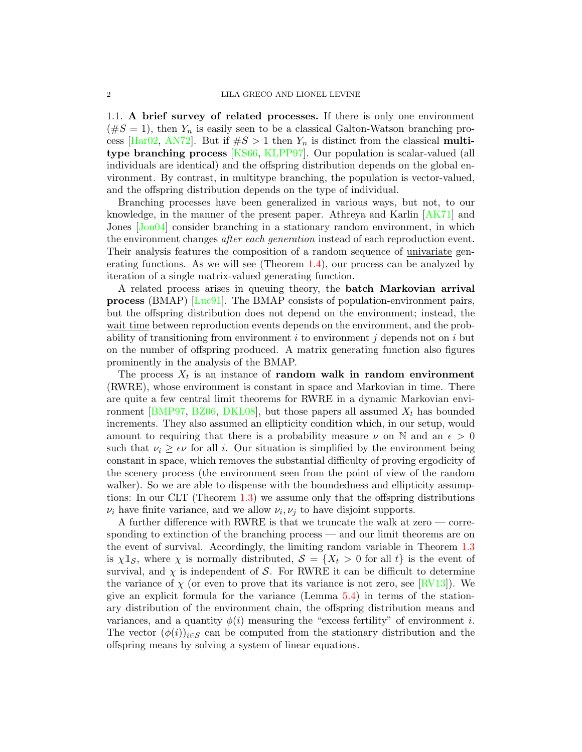1.1. A brief survey of related processes. If there is only one environment  $(\#S = 1)$ , then  $Y_n$  is easily seen to be a classical Galton-Watson branching pro-cess [\[Har02,](#page-25-0) [AN72\]](#page-25-1). But if  $#S > 1$  then  $Y_n$  is distinct from the classical multitype branching process [\[KS66,](#page-25-2) [KLPP97\]](#page-25-3). Our population is scalar-valued (all individuals are identical) and the offspring distribution depends on the global environment. By contrast, in multitype branching, the population is vector-valued, and the offspring distribution depends on the type of individual.

Branching processes have been generalized in various ways, but not, to our knowledge, in the manner of the present paper. Athreya and Karlin [\[AK71\]](#page-25-4) and Jones [\[Jon04\]](#page-25-5) consider branching in a stationary random environment, in which the environment changes *after each generation* instead of each reproduction event. Their analysis features the composition of a random sequence of univariate generating functions. As we will see (Theorem [1.4\)](#page-3-0), our process can be analyzed by iteration of a single matrix-valued generating function.

A related process arises in queuing theory, the batch Markovian arrival process (BMAP) [\[Luc91\]](#page-25-6). The BMAP consists of population-environment pairs, but the offspring distribution does not depend on the environment; instead, the wait time between reproduction events depends on the environment, and the probability of transitioning from environment  $i$  to environment  $j$  depends not on  $i$  but on the number of offspring produced. A matrix generating function also figures prominently in the analysis of the BMAP.

The process  $X_t$  is an instance of **random walk in random environment** (RWRE), whose environment is constant in space and Markovian in time. There are quite a few central limit theorems for RWRE in a dynamic Markovian envi-ronment [\[BMP97,](#page-25-7) [BZ06,](#page-25-8) [DKL08\]](#page-25-9), but those papers all assumed  $X_t$  has bounded increments. They also assumed an ellipticity condition which, in our setup, would amount to requiring that there is a probability measure  $\nu$  on N and an  $\epsilon > 0$ such that  $\nu_i \geq \epsilon \nu$  for all i. Our situation is simplified by the environment being constant in space, which removes the substantial difficulty of proving ergodicity of the scenery process (the environment seen from the point of view of the random walker). So we are able to dispense with the boundedness and ellipticity assumptions: In our CLT (Theorem [1.3\)](#page-2-0) we assume only that the offspring distributions  $\nu_i$  have finite variance, and we allow  $\nu_i, \nu_j$  to have disjoint supports.

A further difference with RWRE is that we truncate the walk at zero — corresponding to extinction of the branching process — and our limit theorems are on the event of survival. Accordingly, the limiting random variable in Theorem [1.3](#page-2-0) is  $\chi \mathbb{1}_{\mathcal{S}}$ , where  $\chi$  is normally distributed,  $\mathcal{S} = \{X_t > 0 \text{ for all } t\}$  is the event of survival, and  $\chi$  is independent of S. For RWRE it can be difficult to determine the variance of  $\chi$  (or even to prove that its variance is not zero, see [\[RV13\]](#page-25-10)). We give an explicit formula for the variance (Lemma [5.4\)](#page-13-0) in terms of the stationary distribution of the environment chain, the offspring distribution means and variances, and a quantity  $\phi(i)$  measuring the "excess fertility" of environment *i*. The vector  $(\phi(i))_{i\in S}$  can be computed from the stationary distribution and the offspring means by solving a system of linear equations.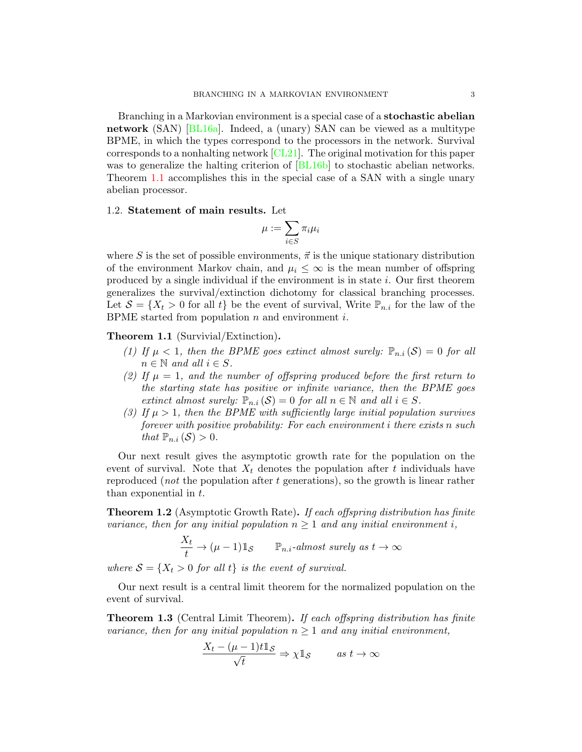Branching in a Markovian environment is a special case of a stochastic abelian network (SAN) [\[BL16a\]](#page-25-11). Indeed, a (unary) SAN can be viewed as a multitype BPME, in which the types correspond to the processors in the network. Survival corresponds to a nonhalting network [\[CL21\]](#page-25-12). The original motivation for this paper was to generalize the halting criterion of  $[BL16b]$  to stochastic abelian networks. Theorem [1.1](#page-2-1) accomplishes this in the special case of a SAN with a single unary abelian processor.

#### 1.2. Statement of main results. Let

$$
\mu:=\sum_{i\in S}\pi_i\mu_i
$$

where S is the set of possible environments,  $\vec{\pi}$  is the unique stationary distribution of the environment Markov chain, and  $\mu_i \leq \infty$  is the mean number of offspring produced by a single individual if the environment is in state i. Our first theorem generalizes the survival/extinction dichotomy for classical branching processes. Let  $S = \{X_t > 0 \text{ for all } t\}$  be the event of survival, Write  $\mathbb{P}_{n,i}$  for the law of the BPME started from population  $n$  and environment  $i$ .

<span id="page-2-1"></span>Theorem 1.1 (Survivial/Extinction).

- (1) If  $\mu < 1$ , then the BPME goes extinct almost surely:  $\mathbb{P}_{n,i}(\mathcal{S}) = 0$  for all  $n \in \mathbb{N}$  and all  $i \in S$ .
- (2) If  $\mu = 1$ , and the number of offspring produced before the first return to the starting state has positive or infinite variance, then the BPME goes extinct almost surely:  $\mathbb{P}_{n,i}(\mathcal{S})=0$  for all  $n \in \mathbb{N}$  and all  $i \in S$ .
- (3) If  $\mu > 1$ , then the BPME with sufficiently large initial population survives forever with positive probability: For each environment i there exists n such that  $\mathbb{P}_{n,i}(\mathcal{S}) > 0$ .

Our next result gives the asymptotic growth rate for the population on the event of survival. Note that  $X_t$  denotes the population after t individuals have reproduced (not the population after t generations), so the growth is linear rather than exponential in t.

<span id="page-2-2"></span>Theorem 1.2 (Asymptotic Growth Rate). If each offspring distribution has finite variance, then for any initial population  $n \geq 1$  and any initial environment i,

$$
\frac{X_t}{t} \to (\mu - 1) \mathbb{1}_{\mathcal{S}} \qquad \mathbb{P}_{n.i}\text{-almost surely as } t \to \infty
$$

where  $S = \{X_t > 0 \text{ for all } t\}$  is the event of survival.

Our next result is a central limit theorem for the normalized population on the event of survival.

<span id="page-2-0"></span>**Theorem 1.3** (Central Limit Theorem). If each offspring distribution has finite variance, then for any initial population  $n \geq 1$  and any initial environment,

$$
\frac{X_t - (\mu - 1)t \mathbb{1}_{\mathcal{S}}}{\sqrt{t}} \Rightarrow \chi \mathbb{1}_{\mathcal{S}} \qquad \text{as } t \to \infty
$$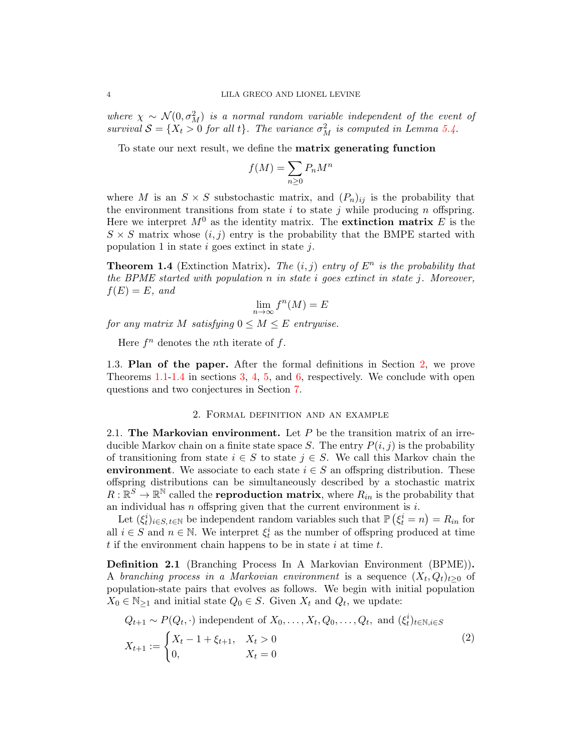where  $\chi \sim \mathcal{N}(0, \sigma_M^2)$  is a normal random variable independent of the event of survival  $S = \{X_t > 0 \text{ for all } t\}$ . The variance  $\sigma_M^2$  is computed in Lemma [5.4.](#page-13-0)

To state our next result, we define the matrix generating function

$$
f(M) = \sum_{n\geq 0} P_n M^n
$$

where M is an  $S \times S$  substochastic matrix, and  $(P_n)_{ij}$  is the probability that the environment transitions from state  $i$  to state  $j$  while producing  $n$  offspring. Here we interpret  $M^0$  as the identity matrix. The **extinction matrix** E is the  $S \times S$  matrix whose  $(i, j)$  entry is the probability that the BMPE started with population 1 in state  $i$  goes extinct in state  $j$ .

<span id="page-3-0"></span>**Theorem 1.4** (Extinction Matrix). The  $(i, j)$  entry of  $E<sup>n</sup>$  is the probability that the BPME started with population  $n$  in state i goes extinct in state j. Moreover,  $f(E) = E$ , and

$$
\lim_{n \to \infty} f^n(M) = E
$$

for any matrix M satisfying  $0 \leq M \leq E$  entrywise.

Here  $f^n$  denotes the *n*th iterate of  $f$ .

1.3. Plan of the paper. After the formal definitions in Section [2,](#page-3-1) we prove Theorems [1.1-](#page-2-1)[1.4](#page-3-0) in sections [3,](#page-5-0) [4,](#page-10-0) [5,](#page-11-0) and [6,](#page-18-0) respectively. We conclude with open questions and two conjectures in Section [7.](#page-22-0)

### 2. Formal definition and an example

<span id="page-3-1"></span>2.1. The Markovian environment. Let  $P$  be the transition matrix of an irreducible Markov chain on a finite state space S. The entry  $P(i, j)$  is the probability of transitioning from state  $i \in S$  to state  $j \in S$ . We call this Markov chain the environment. We associate to each state  $i \in S$  an offspring distribution. These offspring distributions can be simultaneously described by a stochastic matrix  $R: \mathbb{R}^S \to \mathbb{R}^N$  called the **reproduction matrix**, where  $R_{in}$  is the probability that an individual has  $n$  offspring given that the current environment is  $i$ .

Let  $(\xi_t^i)_{i \in S, t \in \mathbb{N}}$  be independent random variables such that  $\mathbb{P}(\xi_t^i = n) = R_{in}$  for all  $i \in S$  and  $n \in \mathbb{N}$ . We interpret  $\xi_t^i$  as the number of offspring produced at time  $t$  if the environment chain happens to be in state  $i$  at time  $t$ .

<span id="page-3-2"></span>Definition 2.1 (Branching Process In A Markovian Environment (BPME)). A branching process in a Markovian environment is a sequence  $(X_t, Q_t)_{t\geq0}$  of population-state pairs that evolves as follows. We begin with initial population  $X_0 \in \mathbb{N}_{\geq 1}$  and initial state  $Q_0 \in S$ . Given  $X_t$  and  $Q_t$ , we update:

$$
Q_{t+1} \sim P(Q_t, \cdot) \text{ independent of } X_0, \dots, X_t, Q_0, \dots, Q_t, \text{ and } (\xi_t^i)_{t \in \mathbb{N}, i \in S}
$$
  

$$
X_{t+1} := \begin{cases} X_t - 1 + \xi_{t+1}, & X_t > 0 \\ 0, & X_t = 0 \end{cases}
$$
 (2)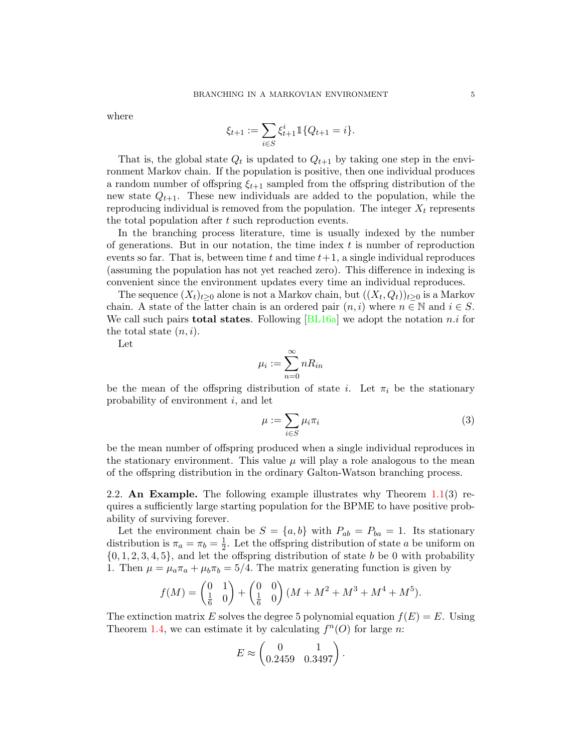where

$$
\xi_{t+1} := \sum_{i \in S} \xi_{t+1}^i \mathbbm{1}\{Q_{t+1} = i\}.
$$

That is, the global state  $Q_t$  is updated to  $Q_{t+1}$  by taking one step in the environment Markov chain. If the population is positive, then one individual produces a random number of offspring  $\xi_{t+1}$  sampled from the offspring distribution of the new state  $Q_{t+1}$ . These new individuals are added to the population, while the reproducing individual is removed from the population. The integer  $X_t$  represents the total population after t such reproduction events.

In the branching process literature, time is usually indexed by the number of generations. But in our notation, the time index  $t$  is number of reproduction events so far. That is, between time t and time  $t+1$ , a single individual reproduces (assuming the population has not yet reached zero). This difference in indexing is convenient since the environment updates every time an individual reproduces.

The sequence  $(X_t)_{t\geq 0}$  alone is not a Markov chain, but  $((X_t, Q_t))_{t\geq 0}$  is a Markov chain. A state of the latter chain is an ordered pair  $(n, i)$  where  $n \in \mathbb{N}$  and  $i \in S$ . We call such pairs **total states**. Following  $|BL16a|$  we adopt the notation n.i for the total state  $(n, i)$ .

Let

$$
\mu_i := \sum_{n=0}^{\infty} n R_{in}
$$

be the mean of the offspring distribution of state i. Let  $\pi_i$  be the stationary probability of environment  $i$ , and let

$$
\mu := \sum_{i \in S} \mu_i \pi_i \tag{3}
$$

be the mean number of offspring produced when a single individual reproduces in the stationary environment. This value  $\mu$  will play a role analogous to the mean of the offspring distribution in the ordinary Galton-Watson branching process.

<span id="page-4-0"></span>2.2. An Example. The following example illustrates why Theorem  $1.1(3)$  $1.1(3)$  requires a sufficiently large starting population for the BPME to have positive probability of surviving forever.

Let the environment chain be  $S = \{a, b\}$  with  $P_{ab} = P_{ba} = 1$ . Its stationary distribution is  $\pi_a = \pi_b = \frac{1}{2}$  $\frac{1}{2}$ . Let the offspring distribution of state a be uniform on  $\{0, 1, 2, 3, 4, 5\}$ , and let the offspring distribution of state b be 0 with probability 1. Then  $\mu = \mu_a \pi_a + \mu_b \pi_b = 5/4$ . The matrix generating function is given by

$$
f(M) = \begin{pmatrix} 0 & 1 \\ \frac{1}{6} & 0 \end{pmatrix} + \begin{pmatrix} 0 & 0 \\ \frac{1}{6} & 0 \end{pmatrix} (M + M^2 + M^3 + M^4 + M^5).
$$

The extinction matrix E solves the degree 5 polynomial equation  $f(E) = E$ . Using Theorem [1.4,](#page-3-0) we can estimate it by calculating  $f^{n}(O)$  for large n:

$$
E \approx \begin{pmatrix} 0 & 1 \\ 0.2459 & 0.3497 \end{pmatrix}.
$$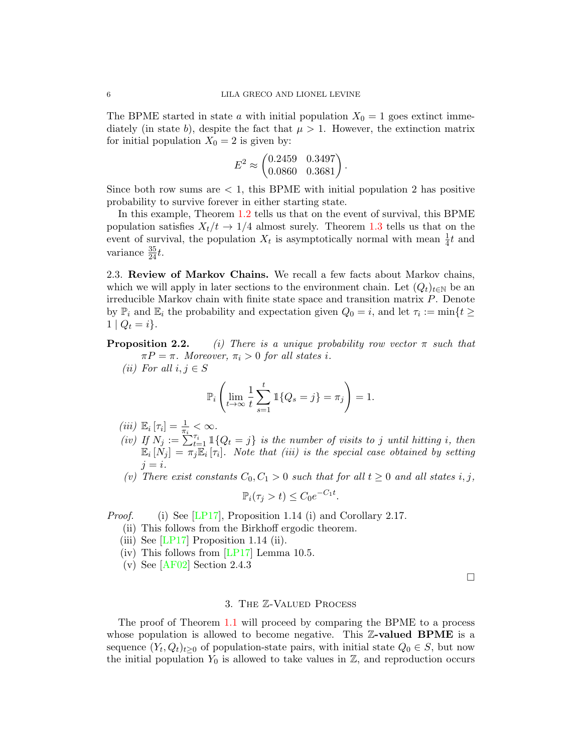The BPME started in state a with initial population  $X_0 = 1$  goes extinct immediately (in state b), despite the fact that  $\mu > 1$ . However, the extinction matrix for initial population  $X_0 = 2$  is given by:

$$
E^2 \approx \begin{pmatrix} 0.2459 & 0.3497 \\ 0.0860 & 0.3681 \end{pmatrix}.
$$

Since both row sums are  $\lt 1$ , this BPME with initial population 2 has positive probability to survive forever in either starting state.

In this example, Theorem [1.2](#page-2-2) tells us that on the event of survival, this BPME population satisfies  $X_t/t \rightarrow 1/4$  almost surely. Theorem [1.3](#page-2-0) tells us that on the event of survival, the population  $X_t$  is asymptotically normal with mean  $\frac{1}{4}t$  and variance  $\frac{35}{24}t$ .

2.3. Review of Markov Chains. We recall a few facts about Markov chains, which we will apply in later sections to the environment chain. Let  $(Q_t)_{t\in\mathbb{N}}$  be an irreducible Markov chain with finite state space and transition matrix P. Denote by  $\mathbb{P}_i$  and  $\mathbb{E}_i$  the probability and expectation given  $Q_0 = i$ , and let  $\tau_i := \min\{t \geq 1\}$  $1 | Q_t = i$ .

<span id="page-5-1"></span>**Proposition 2.2.** (i) There is a unique probability row vector  $\pi$  such that  $\pi P = \pi$ . Moreover,  $\pi_i > 0$  for all states i.

(ii) For all  $i, j \in S$ 

$$
\mathbb{P}_{i}\left(\lim_{t\to\infty}\frac{1}{t}\sum_{s=1}^{t}\mathbb{1}\{Q_{s}=j\}=\pi_{j}\right)=1.
$$

- (iii)  $\mathbb{E}_i \left[ \tau_i \right] = \frac{1}{\pi_i} < \infty$ .
- (iv) If  $N_j := \sum_{t=1}^{n} \mathbb{1}{Q_t = j}$  is the number of visits to j until hitting i, then  $\mathbb{E}_i[N_j] = \overline{\pi_j \mathbb{E}_i}[\tau_i].$  Note that (iii) is the special case obtained by setting  $j = i$ .
- (v) There exist constants  $C_0, C_1 > 0$  such that for all  $t \geq 0$  and all states i, j,

$$
\mathbb{P}_i(\tau_j > t) \le C_0 e^{-C_1 t}.
$$

Proof. (i) See [\[LP17\]](#page-25-14), Proposition 1.14 (i) and Corollary 2.17.

- (ii) This follows from the Birkhoff ergodic theorem.
- (iii) See  $[LP17]$  Proposition 1.14 (ii).
- (iv) This follows from [\[LP17\]](#page-25-14) Lemma 10.5.
- (v) See [\[AF02\]](#page-25-15) Section 2.4.3

 $\Box$ 

### 3. The Z-Valued Process

<span id="page-5-0"></span>The proof of Theorem [1.1](#page-2-1) will proceed by comparing the BPME to a process whose population is allowed to become negative. This  $\mathbb{Z}\text{-valued}$  BPME is a sequence  $(Y_t, Q_t)_{t\geq 0}$  of population-state pairs, with initial state  $Q_0 \in S$ , but now the initial population  $Y_0$  is allowed to take values in  $\mathbb{Z}$ , and reproduction occurs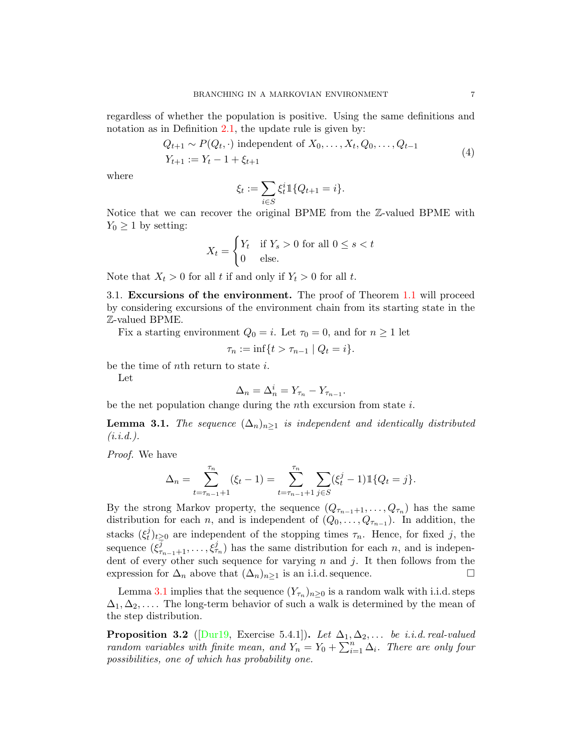regardless of whether the population is positive. Using the same definitions and notation as in Definition [2.1,](#page-3-2) the update rule is given by:

$$
Q_{t+1} \sim P(Q_t, \cdot) \text{ independent of } X_0, \dots, X_t, Q_0, \dots, Q_{t-1}
$$
  

$$
Y_{t+1} := Y_t - 1 + \xi_{t+1}
$$
 (4)

where

$$
\xi_t := \sum_{i \in S} \xi_t^i \mathbb{1}\{Q_{t+1} = i\}.
$$

Notice that we can recover the original BPME from the Z-valued BPME with  $Y_0 \geq 1$  by setting:

$$
X_t = \begin{cases} Y_t & \text{if } Y_s > 0 \text{ for all } 0 \le s < t \\ 0 & \text{else.} \end{cases}
$$

Note that  $X_t > 0$  for all t if and only if  $Y_t > 0$  for all t.

3.1. Excursions of the environment. The proof of Theorem [1.1](#page-2-1) will proceed by considering excursions of the environment chain from its starting state in the Z-valued BPME.

Fix a starting environment  $Q_0 = i$ . Let  $\tau_0 = 0$ , and for  $n \geq 1$  let

$$
\tau_n := \inf\{t > \tau_{n-1} \mid Q_t = i\}.
$$

be the time of nth return to state i.

Let

$$
\Delta_n = \Delta_n^i = Y_{\tau_n} - Y_{\tau_{n-1}}.
$$

be the net population change during the *n*<sup>th</sup> excursion from state  $i$ .

<span id="page-6-0"></span>**Lemma 3.1.** The sequence  $(\Delta_n)_{n>1}$  is independent and identically distributed  $(i.i.d.).$ 

Proof. We have

$$
\Delta_n = \sum_{t=\tau_{n-1}+1}^{\tau_n} (\xi_t - 1) = \sum_{t=\tau_{n-1}+1}^{\tau_n} \sum_{j \in S} (\xi_t^j - 1) \mathbb{1} \{Q_t = j\}.
$$

By the strong Markov property, the sequence  $(Q_{\tau_{n-1}+1}, \ldots, Q_{\tau_n})$  has the same distribution for each *n*, and is independent of  $(Q_0, \ldots, Q_{\tau_{n-1}})$ . In addition, the stacks  $(\xi_t^j)$  $\tau_t^j$ <sub>t</sub>)<sub>t</sub><sub>20</sub> are independent of the stopping times  $\tau_n$ . Hence, for fixed j, the sequence  $(\xi^{\bar{j}}_{\tau_{n-1}+1},\ldots,\xi^{\bar{j}}_{\tau_n})$  has the same distribution for each n, and is independent of every other such sequence for varying  $n$  and  $j$ . It then follows from the expression for  $\Delta_n$  above that  $(\Delta_n)_{n\geq 1}$  is an i.i.d. sequence.

Lemma [3.1](#page-6-0) implies that the sequence  $(Y_{\tau_n})_{n\geq 0}$  is a random walk with i.i.d. steps  $\Delta_1, \Delta_2, \ldots$  The long-term behavior of such a walk is determined by the mean of the step distribution.

<span id="page-6-1"></span>**Proposition 3.2** ( $\text{Durl9, Exercise 5.4.1}.$ ). Let  $\Delta_1, \Delta_2, \ldots$  be *i.i.d. real-valued* random variables with finite mean, and  $Y_n = Y_0 + \sum_{i=1}^n \Delta_i$ . There are only four possibilities, one of which has probability one.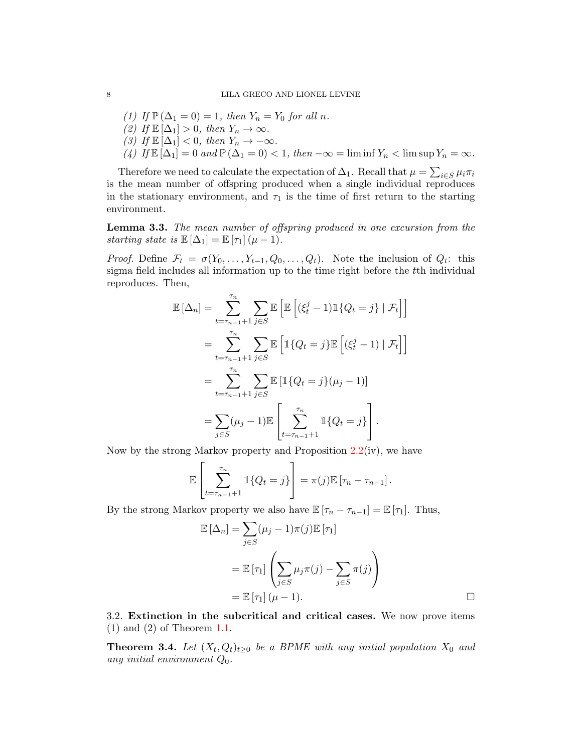\n- (1) If 
$$
\mathbb{P}(\Delta_1 = 0) = 1
$$
, then  $Y_n = Y_0$  for all n.
\n- (2) If  $\mathbb{E}[\Delta_1] > 0$ , then  $Y_n \to \infty$ .
\n- (3) If  $\mathbb{E}[\Delta_1] < 0$ , then  $Y_n \to -\infty$ .
\n- (4) If  $\mathbb{E}[\Delta_1] = 0$  and  $\mathbb{P}(\Delta_1 = 0) < 1$ , then  $-\infty = \liminf Y_n < \limsup Y_n = \infty$ .
\n

Therefore we need to calculate the expectation of  $\Delta_1$ . Recall that  $\mu = \sum_{i \in S} \mu_i \pi_i$ is the mean number of offspring produced when a single individual reproduces in the stationary environment, and  $\tau_1$  is the time of first return to the starting environment.

<span id="page-7-0"></span>Lemma 3.3. The mean number of offspring produced in one excursion from the starting state is  $\mathbb{E}[\Delta_1] = \mathbb{E}[\tau_1](\mu - 1)$ .

*Proof.* Define  $\mathcal{F}_t = \sigma(Y_0, \ldots, Y_{t-1}, Q_0, \ldots, Q_t)$ . Note the inclusion of  $Q_t$ : this sigma field includes all information up to the time right before the tth individual reproduces. Then,

$$
\mathbb{E}[\Delta_n] = \sum_{t=\tau_{n-1}+1}^{\tau_n} \sum_{j \in S} \mathbb{E} \left[ \mathbb{E} \left[ (\xi_t^j - 1) \mathbb{1} \{ Q_t = j \} \mid \mathcal{F}_t \right] \right]
$$

$$
= \sum_{t=\tau_{n-1}+1}^{\tau_n} \sum_{j \in S} \mathbb{E} \left[ \mathbb{1} \{ Q_t = j \} \mathbb{E} \left[ (\xi_t^j - 1) \mid \mathcal{F}_t \right] \right]
$$

$$
= \sum_{t=\tau_{n-1}+1}^{\tau_n} \sum_{j \in S} \mathbb{E} \left[ \mathbb{1} \{ Q_t = j \} (\mu_j - 1) \right]
$$

$$
= \sum_{j \in S} (\mu_j - 1) \mathbb{E} \left[ \sum_{t=\tau_{n-1}+1}^{\tau_n} \mathbb{1} \{ Q_t = j \} \right].
$$

Now by the strong Markov property and Proposition [2.2\(](#page-5-1)iv), we have

$$
\mathbb{E}\left[\sum_{t=\tau_{n-1}+1}^{\tau_n} \mathbb{1}\{Q_t=j\}\right] = \pi(j)\mathbb{E}\left[\tau_n-\tau_{n-1}\right].
$$

By the strong Markov property we also have  $\mathbb{E} [\tau_n - \tau_{n-1}] = \mathbb{E} [\tau_1]$ . Thus,

$$
\mathbb{E}[\Delta_n] = \sum_{j \in S} (\mu_j - 1)\pi(j)\mathbb{E}[\tau_1]
$$
  
= 
$$
\mathbb{E}[\tau_1] \left( \sum_{j \in S} \mu_j \pi(j) - \sum_{j \in S} \pi(j) \right)
$$
  
= 
$$
\mathbb{E}[\tau_1] (\mu - 1).
$$

3.2. Extinction in the subcritical and critical cases. We now prove items (1) and (2) of Theorem [1.1.](#page-2-1)

**Theorem 3.4.** Let  $(X_t, Q_t)_{t \geq 0}$  be a BPME with any initial population  $X_0$  and any initial environment  $Q_0$ .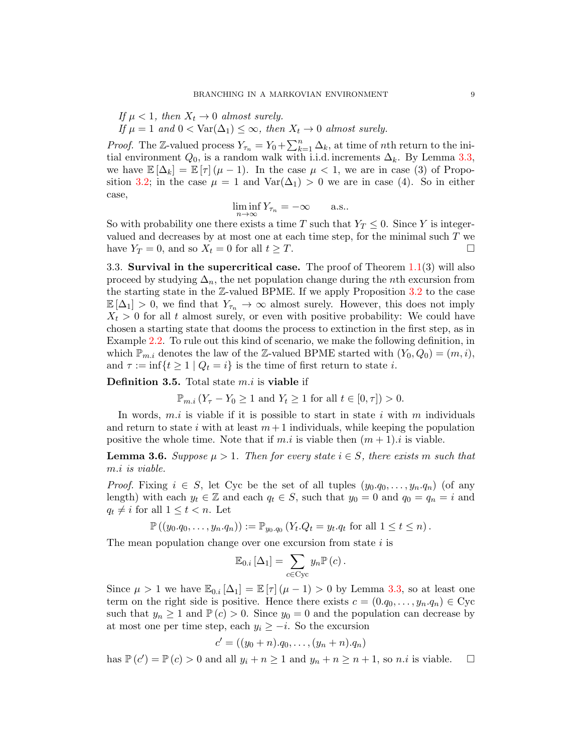If  $\mu < 1$ , then  $X_t \to 0$  almost surely.

If  $\mu = 1$  and  $0 < \text{Var}(\Delta_1) \leq \infty$ , then  $X_t \to 0$  almost surely.

*Proof.* The Z-valued process  $Y_{\tau_n} = Y_0 + \sum_{k=1}^n \Delta_k$ , at time of *n*th return to the initial environment  $Q_0$ , is a random walk with i.i.d. increments  $\Delta_k$ . By Lemma [3.3,](#page-7-0) we have  $\mathbb{E}[\Delta_k] = \mathbb{E}[\tau](\mu - 1)$ . In the case  $\mu < 1$ , we are in case (3) of Propo-sition [3.2;](#page-6-1) in the case  $\mu = 1$  and  $\text{Var}(\Delta_1) > 0$  we are in case (4). So in either case,

$$
\liminf_{n \to \infty} Y_{\tau_n} = -\infty \quad \text{a.s..}
$$

So with probability one there exists a time T such that  $Y_T \leq 0$ . Since Y is integervalued and decreases by at most one at each time step, for the minimal such  $T$  we have  $Y_T = 0$ , and so  $X_t = 0$  for all  $t \geq T$ .

3.3. Survival in the supercritical case. The proof of Theorem  $1.1(3)$  $1.1(3)$  will also proceed by studying  $\Delta_n$ , the net population change during the *n*th excursion from the starting state in the  $\mathbb{Z}\text{-valued BPME}$ . If we apply Proposition [3.2](#page-6-1) to the case  $\mathbb{E}[\Delta_1] > 0$ , we find that  $Y_{\tau_n} \to \infty$  almost surely. However, this does not imply  $X_t > 0$  for all t almost surely, or even with positive probability: We could have chosen a starting state that dooms the process to extinction in the first step, as in Example [2.2.](#page-4-0) To rule out this kind of scenario, we make the following definition, in which  $\mathbb{P}_{m,i}$  denotes the law of the Z-valued BPME started with  $(Y_0, Q_0) = (m, i)$ , and  $\tau := \inf\{t \geq 1 \mid Q_t = i\}$  is the time of first return to state *i*.

**Definition 3.5.** Total state  $m.i$  is **viable** if

$$
\mathbb{P}_{m.i}(Y_{\tau}-Y_0\geq 1 \text{ and } Y_t\geq 1 \text{ for all } t\in[0,\tau])>0.
$$

In words,  $m.i$  is viable if it is possible to start in state i with m individuals and return to state i with at least  $m+1$  individuals, while keeping the population positive the whole time. Note that if m.i is viable then  $(m+1)$  is viable.

<span id="page-8-0"></span>**Lemma 3.6.** Suppose  $\mu > 1$ . Then for every state  $i \in S$ , there exists m such that m.i is viable.

*Proof.* Fixing  $i \in S$ , let Cyc be the set of all tuples  $(y_0, q_0, \ldots, y_n, q_n)$  (of any length) with each  $y_t \in \mathbb{Z}$  and each  $q_t \in S$ , such that  $y_0 = 0$  and  $q_0 = q_n = i$  and  $q_t \neq i$  for all  $1 \leq t < n$ . Let

$$
\mathbb{P}\left(\left(y_0,q_0,\ldots,y_n,q_n\right)\right) := \mathbb{P}_{y_0,q_0}\left(Y_t.Q_t = y_t.q_t \text{ for all } 1 \leq t \leq n\right).
$$

The mean population change over one excursion from state  $i$  is

$$
\mathbb{E}_{0,i} \left[ \Delta_1 \right] = \sum_{c \in \text{Cyc}} y_n \mathbb{P}(c).
$$

Since  $\mu > 1$  we have  $\mathbb{E}_{0,i}[\Delta_1] = \mathbb{E}[\tau](\mu - 1) > 0$  by Lemma [3.3,](#page-7-0) so at least one term on the right side is positive. Hence there exists  $c = (0.q_0,\ldots,y_n.q_n) \in Cyc$ such that  $y_n \geq 1$  and  $\mathbb{P}(c) > 0$ . Since  $y_0 = 0$  and the population can decrease by at most one per time step, each  $y_i \geq -i$ . So the excursion

$$
c' = ((y_0 + n).q_0, \ldots, (y_n + n).q_n)
$$

has  $\mathbb{P}(c') = \mathbb{P}(c) > 0$  and all  $y_i + n \ge 1$  and  $y_n + n \ge n + 1$ , so *n.i* is viable.  $\Box$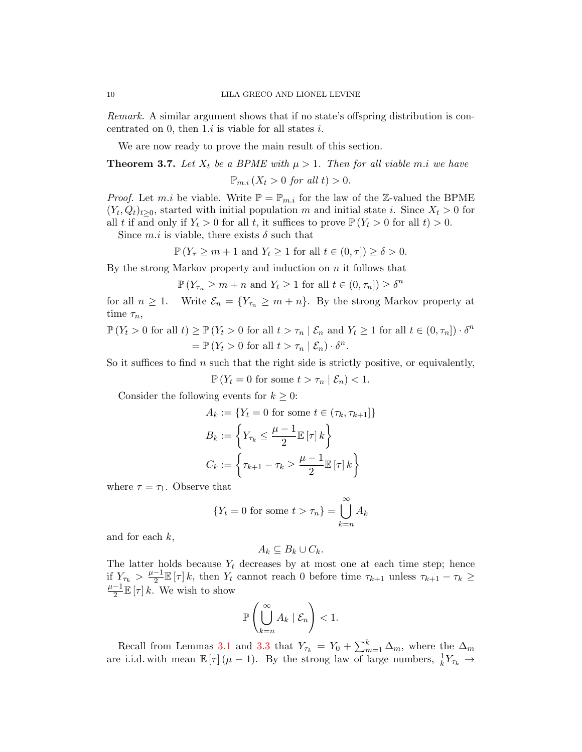Remark. A similar argument shows that if no state's offspring distribution is concentrated on 0, then  $1.i$  is viable for all states i.

We are now ready to prove the main result of this section.

<span id="page-9-0"></span>**Theorem 3.7.** Let  $X_t$  be a BPME with  $\mu > 1$ . Then for all viable m.i we have  $\mathbb{P}_{m,i}$   $(X_t > 0$  for all  $t) > 0$ .

*Proof.* Let m.i be viable. Write  $\mathbb{P} = \mathbb{P}_{m,i}$  for the law of the Z-valued the BPME  $(Y_t, Q_t)_{t \geq 0}$ , started with initial population m and initial state i. Since  $X_t > 0$  for all t if and only if  $Y_t > 0$  for all t, it suffices to prove  $\mathbb{P}(Y_t > 0$  for all  $t) > 0$ .

Since  $m.i$  is viable, there exists  $\delta$  such that

$$
\mathbb{P}\left(Y_{\tau}\geq m+1 \text{ and } Y_t\geq 1 \text{ for all } t\in(0,\tau]\right)\geq \delta>0.
$$

By the strong Markov property and induction on  $n$  it follows that

$$
\mathbb{P}\left(Y_{\tau_n} \geq m + n \text{ and } Y_t \geq 1 \text{ for all } t \in (0, \tau_n]\right) \geq \delta^n
$$

for all  $n \geq 1$ . Write  $\mathcal{E}_n = \{Y_{\tau_n} \geq m + n\}$ . By the strong Markov property at time  $\tau_n$ ,

$$
\mathbb{P}(Y_t > 0 \text{ for all } t) \ge \mathbb{P}(Y_t > 0 \text{ for all } t > \tau_n \mid \mathcal{E}_n \text{ and } Y_t \ge 1 \text{ for all } t \in (0, \tau_n]) \cdot \delta^n
$$

$$
= \mathbb{P}(Y_t > 0 \text{ for all } t > \tau_n \mid \mathcal{E}_n) \cdot \delta^n.
$$

So it suffices to find n such that the right side is strictly positive, or equivalently,

 $\mathbb{P}\left(Y_t = 0 \text{ for some } t > \tau_n \mid \mathcal{E}_n\right) < 1.$ 

Consider the following events for  $k \geq 0$ :

$$
A_k := \{ Y_t = 0 \text{ for some } t \in (\tau_k, \tau_{k+1}] \}
$$

$$
B_k := \left\{ Y_{\tau_k} \le \frac{\mu - 1}{2} \mathbb{E}[\tau] k \right\}
$$

$$
C_k := \left\{ \tau_{k+1} - \tau_k \ge \frac{\mu - 1}{2} \mathbb{E}[\tau] k \right\}
$$

where  $\tau = \tau_1$ . Observe that

$$
\{Y_t = 0 \text{ for some } t > \tau_n\} = \bigcup_{k=n}^{\infty} A_k
$$

and for each  $k$ ,

$$
A_k \subseteq B_k \cup C_k.
$$

The latter holds because  $Y_t$  decreases by at most one at each time step; hence if  $Y_{\tau_k} > \frac{\mu-1}{2}$  $\frac{-1}{2} \mathbb{E}[\tau] k$ , then  $Y_t$  cannot reach 0 before time  $\tau_{k+1}$  unless  $\tau_{k+1} - \tau_k \geq$  $\mu-1$  $\frac{-1}{2}\mathbb{E}\left[\tau\right]k$ . We wish to show

$$
\mathbb{P}\left(\bigcup_{k=n}^{\infty} A_k \mid \mathcal{E}_n\right) < 1.
$$

Recall from Lemmas [3.1](#page-6-0) and [3.3](#page-7-0) that  $Y_{\tau_k} = Y_0 + \sum_{m=1}^k \Delta_m$ , where the  $\Delta_m$ are i.i.d. with mean  $\mathbb{E}[\tau](\mu - 1)$ . By the strong law of large numbers,  $\frac{1}{k}Y_{\tau_k} \to$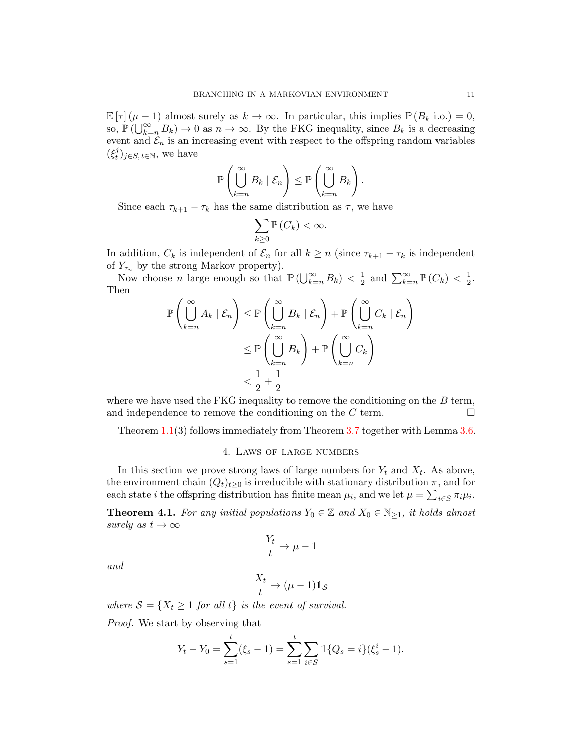$\mathbb{E}[\tau](\mu-1)$  almost surely as  $k \to \infty$ . In particular, this implies  $\mathbb{P}(B_k \text{ i.o.}) = 0$ , so,  $\mathbb{P}(\bigcup_{k=n}^{\infty} B_k) \to 0$  as  $n \to \infty$ . By the FKG inequality, since  $B_k$  is a decreasing event and  $\mathcal{E}_n$  is an increasing event with respect to the offspring random variables  $(\xi_t^j)$  $_{t}^{j})_{j\in S,\,t\in\mathbb{N}},\,$  we have

$$
\mathbb{P}\left(\bigcup_{k=n}^{\infty}B_k\mid\mathcal{E}_n\right)\leq \mathbb{P}\left(\bigcup_{k=n}^{\infty}B_k\right).
$$

Since each  $\tau_{k+1} - \tau_k$  has the same distribution as  $\tau$ , we have

$$
\sum_{k\geq 0} \mathbb{P}\left(C_k\right) < \infty.
$$

In addition,  $C_k$  is independent of  $\mathcal{E}_n$  for all  $k \geq n$  (since  $\tau_{k+1} - \tau_k$  is independent of  $Y_{\tau_n}$  by the strong Markov property).

Now choose *n* large enough so that  $\mathbb{P}(\bigcup_{k=n}^{\infty}B_k) < \frac{1}{2}$  $\frac{1}{2}$  and  $\sum_{k=n}^{\infty} \mathbb{P}(C_k) < \frac{1}{2}$  $\frac{1}{2}$ . Then  $\sim$  $\mathcal{L}$ 

$$
\mathbb{P}\left(\bigcup_{k=n}^{\infty} A_k \mid \mathcal{E}_n\right) \leq \mathbb{P}\left(\bigcup_{k=n}^{\infty} B_k \mid \mathcal{E}_n\right) + \mathbb{P}\left(\bigcup_{k=n}^{\infty} C_k \mid \mathcal{E}_n\right) \n\leq \mathbb{P}\left(\bigcup_{k=n}^{\infty} B_k\right) + \mathbb{P}\left(\bigcup_{k=n}^{\infty} C_k\right) \n< \frac{1}{2} + \frac{1}{2}
$$

where we have used the FKG inequality to remove the conditioning on the  $B$  term, and independence to remove the conditioning on the C term.  $\Box$ 

Theorem [1.1\(](#page-2-1)3) follows immediately from Theorem [3.7](#page-9-0) together with Lemma [3.6.](#page-8-0)

### 4. Laws of large numbers

<span id="page-10-0"></span>In this section we prove strong laws of large numbers for  $Y_t$  and  $X_t$ . As above, the environment chain  $(Q_t)_{t>0}$  is irreducible with stationary distribution  $\pi$ , and for each state *i* the offspring distribution has finite mean  $\mu_i$ , and we let  $\mu = \sum_{i \in S} \pi_i \mu_i$ .

<span id="page-10-1"></span>**Theorem 4.1.** For any initial populations  $Y_0 \in \mathbb{Z}$  and  $X_0 \in \mathbb{N}_{\geq 1}$ , it holds almost surely as  $t \to \infty$ 

$$
\frac{Y_t}{t}\to \mu-1
$$

and

$$
\frac{X_t}{t}\to (\mu-1)\mathbb{1}_{\mathcal{S}}
$$

where  $S = \{X_t \geq 1 \text{ for all } t\}$  is the event of survival.

Proof. We start by observing that

$$
Y_t - Y_0 = \sum_{s=1}^t (\xi_s - 1) = \sum_{s=1}^t \sum_{i \in S} \mathbb{1}\{Q_s = i\}(\xi_s^i - 1).
$$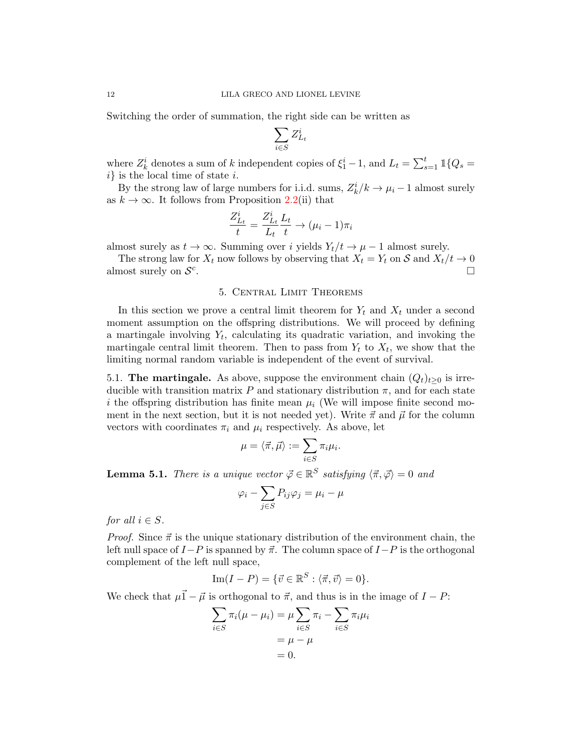Switching the order of summation, the right side can be written as

$$
\sum_{i \in S} Z_{L_t}^i
$$

where  $Z_k^i$  denotes a sum of k independent copies of  $\xi_1^i-1$ , and  $L_t = \sum_{s=1}^t \mathbbm{1}{Q_s}$  $i$  is the local time of state i.

By the strong law of large numbers for i.i.d. sums,  $Z_k^i/k \to \mu_i - 1$  almost surely as  $k \to \infty$ . It follows from Proposition [2.2\(](#page-5-1)ii) that

$$
\frac{Z_{L_t}^i}{t} = \frac{Z_{L_t}^i}{L_t} \frac{L_t}{t} \rightarrow (\mu_i - 1)\pi_i
$$

almost surely as  $t \to \infty$ . Summing over i yields  $Y_t/t \to \mu - 1$  almost surely.

The strong law for  $X_t$  now follows by observing that  $X_t = Y_t$  on S and  $X_t/t \to 0$ almost surely on  $\mathcal{S}^c$ . В последните последните последните последните последните последните последните последните последните последн<br>В последните последните последните последните последните последните последните последните последните последнит

# 5. Central Limit Theorems

<span id="page-11-0"></span>In this section we prove a central limit theorem for  $Y_t$  and  $X_t$  under a second moment assumption on the offspring distributions. We will proceed by defining a martingale involving  $Y_t$ , calculating its quadratic variation, and invoking the martingale central limit theorem. Then to pass from  $Y_t$  to  $X_t$ , we show that the limiting normal random variable is independent of the event of survival.

5.1. The martingale. As above, suppose the environment chain  $(Q_t)_{t\geq 0}$  is irreducible with transition matrix P and stationary distribution  $\pi$ , and for each state i the offspring distribution has finite mean  $\mu_i$  (We will impose finite second moment in the next section, but it is not needed yet). Write  $\vec{\pi}$  and  $\vec{\mu}$  for the column vectors with coordinates  $\pi_i$  and  $\mu_i$  respectively. As above, let

$$
\mu = \langle \vec{\pi}, \vec{\mu} \rangle := \sum_{i \in S} \pi_i \mu_i.
$$

<span id="page-11-1"></span>**Lemma 5.1.** There is a unique vector  $\vec{\varphi} \in \mathbb{R}^S$  satisfying  $\langle \vec{\pi}, \vec{\varphi} \rangle = 0$  and

$$
\varphi_i - \sum_{j \in S} P_{ij} \varphi_j = \mu_i - \mu
$$

for all  $i \in S$ .

*Proof.* Since  $\vec{\pi}$  is the unique stationary distribution of the environment chain, the left null space of  $I-P$  is spanned by  $\vec{\pi}$ . The column space of  $I-P$  is the orthogonal complement of the left null space,

Im
$$
(I - P)
$$
 = { $\vec{v} \in \mathbb{R}^S : \langle \vec{\pi}, \vec{v} \rangle = 0$  }.

We check that  $\mu \vec{1} - \vec{\mu}$  is orthogonal to  $\vec{\pi}$ , and thus is in the image of  $I - P$ :

$$
\sum_{i \in S} \pi_i (\mu - \mu_i) = \mu \sum_{i \in S} \pi_i - \sum_{i \in S} \pi_i \mu_i
$$

$$
= \mu - \mu
$$

$$
= 0.
$$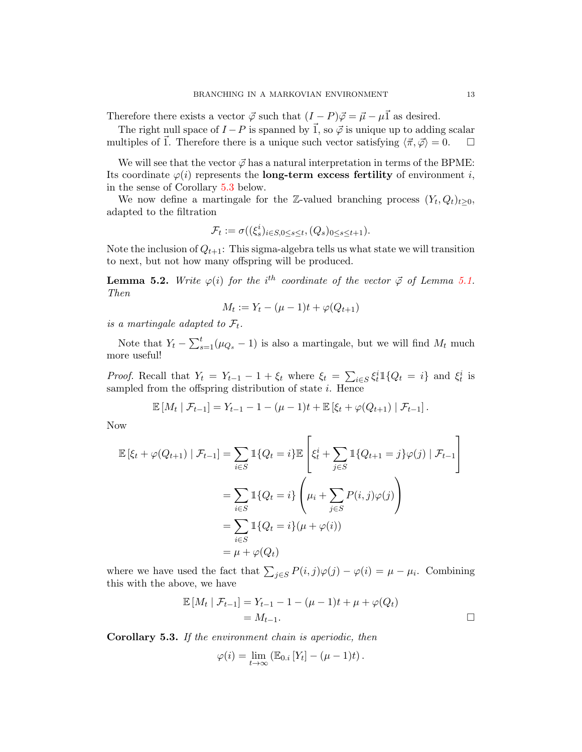Therefore there exists a vector  $\vec{\varphi}$  such that  $(I - P)\vec{\varphi} = \vec{\mu} - \mu \vec{1}$  as desired.

The right null space of  $I - P$  is spanned by  $\vec{1}$ , so  $\vec{\varphi}$  is unique up to adding scalar multiples of  $\vec{1}$ . Therefore there is a unique such vector satisfying  $\langle \vec{\pi}, \vec{\varphi} \rangle = 0.$ 

We will see that the vector  $\vec{\varphi}$  has a natural interpretation in terms of the BPME: Its coordinate  $\varphi(i)$  represents the **long-term excess fertility** of environment i, in the sense of Corollary [5.3](#page-12-0) below.

We now define a martingale for the Z-valued branching process  $(Y_t, Q_t)_{t \geq 0}$ , adapted to the filtration

$$
\mathcal{F}_t := \sigma((\xi_s^i)_{i \in S, 0 \le s \le t}, (Q_s)_{0 \le s \le t+1}).
$$

Note the inclusion of  $Q_{t+1}$ : This sigma-algebra tells us what state we will transition to next, but not how many offspring will be produced.

<span id="page-12-1"></span>**Lemma 5.2.** Write  $\varphi(i)$  for the i<sup>th</sup> coordinate of the vector  $\vec{\varphi}$  of Lemma [5.1.](#page-11-1) Then

$$
M_t := Y_t - (\mu - 1)t + \varphi(Q_{t+1})
$$

is a martingale adapted to  $\mathcal{F}_t$ .

Note that  $Y_t - \sum_{s=1}^t (\mu_{Q_s} - 1)$  is also a martingale, but we will find  $M_t$  much more useful!

*Proof.* Recall that  $Y_t = Y_{t-1} - 1 + \xi_t$  where  $\xi_t = \sum_{i \in S} \xi_t^i \mathbb{1}_{\{Q_t = i\}}$  and  $\xi_t^i$  is sampled from the offspring distribution of state  $i$ . Hence

$$
\mathbb{E}[M_t | \mathcal{F}_{t-1}] = Y_{t-1} - 1 - (\mu - 1)t + \mathbb{E}[\xi_t + \varphi(Q_{t+1}) | \mathcal{F}_{t-1}].
$$

Now

$$
\mathbb{E} \left[ \xi_t + \varphi(Q_{t+1}) \mid \mathcal{F}_{t-1} \right] = \sum_{i \in S} \mathbb{1} \{ Q_t = i \} \mathbb{E} \left[ \xi_t^i + \sum_{j \in S} \mathbb{1} \{ Q_{t+1} = j \} \varphi(j) \mid \mathcal{F}_{t-1} \right]
$$

$$
= \sum_{i \in S} \mathbb{1} \{ Q_t = i \} \left( \mu_i + \sum_{j \in S} P(i, j) \varphi(j) \right)
$$

$$
= \sum_{i \in S} \mathbb{1} \{ Q_t = i \} (\mu + \varphi(i))
$$

$$
= \mu + \varphi(Q_t)
$$

where we have used the fact that  $\sum_{j\in S} P(i,j)\varphi(j) - \varphi(i) = \mu - \mu_i$ . Combining this with the above, we have

$$
\mathbb{E}[M_t | \mathcal{F}_{t-1}] = Y_{t-1} - 1 - (\mu - 1)t + \mu + \varphi(Q_t) = M_{t-1}.
$$

<span id="page-12-0"></span>Corollary 5.3. If the environment chain is aperiodic, then

$$
\varphi(i) = \lim_{t \to \infty} \left( \mathbb{E}_{0,i} \left[ Y_t \right] - (\mu - 1)t \right).
$$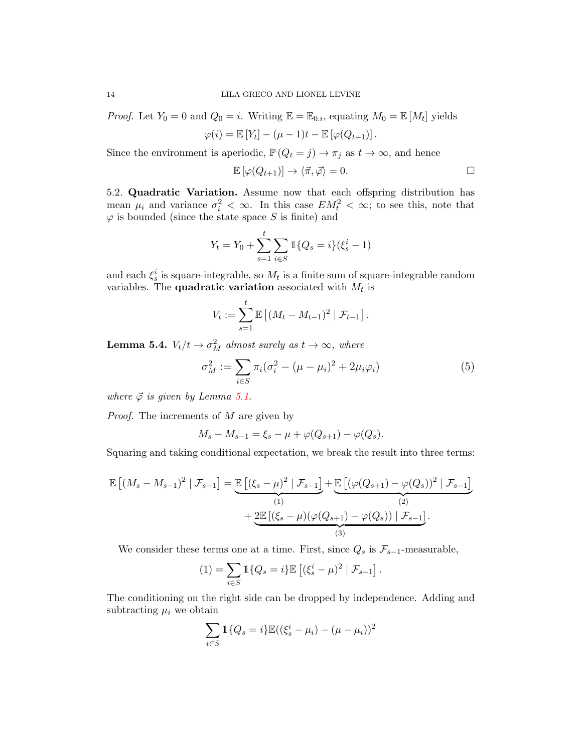*Proof.* Let  $Y_0 = 0$  and  $Q_0 = i$ . Writing  $\mathbb{E} = \mathbb{E}_{0,i}$ , equating  $M_0 = \mathbb{E}[M_t]$  yields

$$
\varphi(i) = \mathbb{E}[Y_t] - (\mu - 1)t - \mathbb{E}[\varphi(Q_{t+1})].
$$

Since the environment is aperiodic,  $\mathbb{P}(Q_t = j) \to \pi_j$  as  $t \to \infty$ , and hence

$$
\mathbb{E}[\varphi(Q_{t+1})] \to \langle \vec{\pi}, \vec{\varphi} \rangle = 0.
$$

5.2. Quadratic Variation. Assume now that each offspring distribution has mean  $\mu_i$  and variance  $\sigma_i^2 < \infty$ . In this case  $EM_t^2 < \infty$ ; to see this, note that  $\varphi$  is bounded (since the state space S is finite) and

$$
Y_t = Y_0 + \sum_{s=1}^t \sum_{i \in S} \mathbb{1}{Q_s = i} (\xi_s^i - 1)
$$

and each  $\xi_s^i$  is square-integrable, so  $M_t$  is a finite sum of square-integrable random variables. The **quadratic variation** associated with  $M_t$  is

$$
V_t := \sum_{s=1}^t \mathbb{E} \left[ (M_t - M_{t-1})^2 \mid \mathcal{F}_{t-1} \right].
$$

<span id="page-13-0"></span>**Lemma 5.4.**  $V_t/t \rightarrow \sigma_M^2$  almost surely as  $t \rightarrow \infty$ , where

$$
\sigma_M^2 := \sum_{i \in S} \pi_i (\sigma_i^2 - (\mu - \mu_i)^2 + 2\mu_i \varphi_i)
$$
 (5)

where  $\vec{\varphi}$  is given by Lemma [5.1.](#page-11-1)

Proof. The increments of M are given by

$$
M_s - M_{s-1} = \xi_s - \mu + \varphi(Q_{s+1}) - \varphi(Q_s).
$$

Squaring and taking conditional expectation, we break the result into three terms:

$$
\mathbb{E}\left[ (M_s - M_{s-1})^2 \mid \mathcal{F}_{s-1} \right] = \underbrace{\mathbb{E}\left[ (\xi_s - \mu)^2 \mid \mathcal{F}_{s-1} \right]}_{(1)} + \underbrace{\mathbb{E}\left[ (\varphi(Q_{s+1}) - \varphi(Q_s))^2 \mid \mathcal{F}_{s-1} \right]}_{(2)} + \underbrace{2\mathbb{E}\left[ (\xi_s - \mu)(\varphi(Q_{s+1}) - \varphi(Q_s)) \mid \mathcal{F}_{s-1} \right]}_{(3)}.
$$

We consider these terms one at a time. First, since  $Q_s$  is  $\mathcal{F}_{s-1}$ -measurable,

$$
(1) = \sum_{i \in S} \mathbb{1}\{Q_s = i\} \mathbb{E}\left[ (\xi_s^i - \mu)^2 \mid \mathcal{F}_{s-1} \right].
$$

The conditioning on the right side can be dropped by independence. Adding and subtracting  $\mu_i$  we obtain

$$
\sum_{i \in S} \mathbb{1}{Q_s = i} \mathbb{E}((\xi_s^i - \mu_i) - (\mu - \mu_i))^2
$$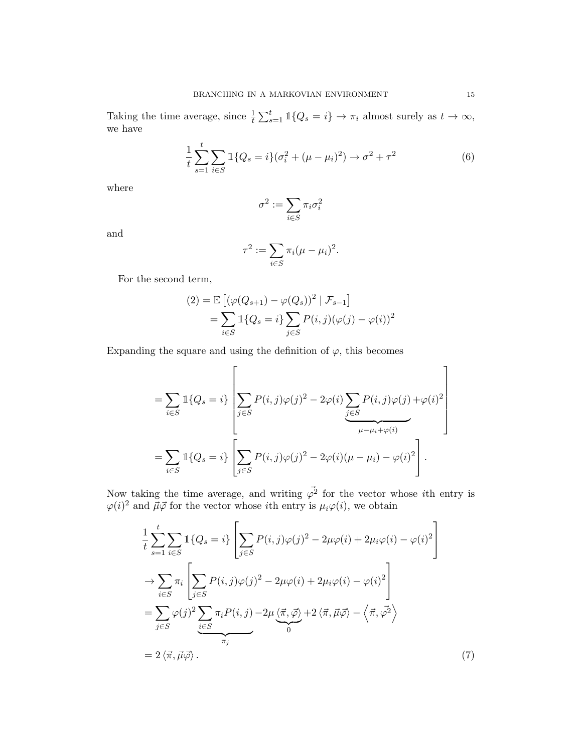Taking the time average, since  $\frac{1}{t} \sum_{s=1}^{t} \mathbb{1}\{Q_s = i\} \to \pi_i$  almost surely as  $t \to \infty$ , we have

$$
\frac{1}{t} \sum_{s=1}^{t} \sum_{i \in S} \mathbb{1} \{ Q_s = i \} (\sigma_i^2 + (\mu - \mu_i)^2) \to \sigma^2 + \tau^2
$$
\n(6)

where

<span id="page-14-0"></span>
$$
\sigma^2:=\sum_{i\in S}\pi_i\sigma_i^2
$$

and

$$
\tau^2 := \sum_{i \in S} \pi_i (\mu - \mu_i)^2.
$$

For the second term,

$$
(2) = \mathbb{E}\left[\left(\varphi(Q_{s+1}) - \varphi(Q_s)\right)^2 \mid \mathcal{F}_{s-1}\right]
$$

$$
= \sum_{i \in S} \mathbb{1}\{Q_s = i\} \sum_{j \in S} P(i,j) (\varphi(j) - \varphi(i))^2
$$

Expanding the square and using the definition of  $\varphi$ , this becomes

$$
= \sum_{i \in S} \mathbb{1} \{Q_s = i\} \left[ \sum_{j \in S} P(i,j) \varphi(j)^2 - 2\varphi(i) \sum_{j \in S} P(i,j) \varphi(j) + \varphi(i)^2 \right]
$$
  

$$
= \sum_{i \in S} \mathbb{1} \{Q_s = i\} \left[ \sum_{j \in S} P(i,j) \varphi(j)^2 - 2\varphi(i) (\mu - \mu_i) - \varphi(i)^2 \right].
$$

Now taking the time average, and writing  $\vec{\varphi}^2$  for the vector whose *i*th entry is  $\varphi(i)^2$  and  $\vec{\mu}\vec{\varphi}$  for the vector whose *i*th entry is  $\mu_i\varphi(i)$ , we obtain

<span id="page-14-1"></span>
$$
\frac{1}{t} \sum_{s=1}^{t} \sum_{i \in S} \mathbb{1} \{Q_s = i\} \left[ \sum_{j \in S} P(i,j) \varphi(j)^2 - 2\mu \varphi(i) + 2\mu_i \varphi(i) - \varphi(i)^2 \right]
$$
\n
$$
\rightarrow \sum_{i \in S} \pi_i \left[ \sum_{j \in S} P(i,j) \varphi(j)^2 - 2\mu \varphi(i) + 2\mu_i \varphi(i) - \varphi(i)^2 \right]
$$
\n
$$
= \sum_{j \in S} \varphi(j)^2 \sum_{\substack{i \in S \\ \pi_j}} \pi_i P(i,j) - 2\mu \underbrace{\langle \vec{\pi}, \vec{\varphi} \rangle}_{0} + 2 \langle \vec{\pi}, \vec{\mu} \vec{\varphi} \rangle - \left\langle \vec{\pi}, \vec{\varphi}^2 \right\rangle
$$
\n
$$
= 2 \langle \vec{\pi}, \vec{\mu} \vec{\varphi} \rangle. \tag{7}
$$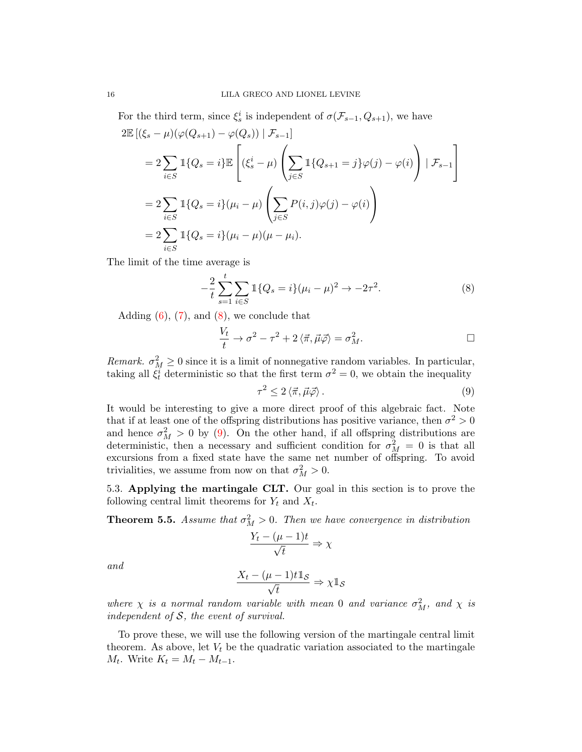For the third term, since  $\xi_s^i$  is independent of  $\sigma(\mathcal{F}_{s-1}, Q_{s+1})$ , we have

$$
2\mathbb{E}\left[(\xi_s - \mu)(\varphi(Q_{s+1}) - \varphi(Q_s)) \mid \mathcal{F}_{s-1}\right]
$$
  
\n
$$
= 2\sum_{i \in S} \mathbb{1}\{Q_s = i\} \mathbb{E}\left[(\xi_s^i - \mu)\left(\sum_{j \in S} \mathbb{1}\{Q_{s+1} = j\}\varphi(j) - \varphi(i)\right) \mid \mathcal{F}_{s-1}\right]
$$
  
\n
$$
= 2\sum_{i \in S} \mathbb{1}\{Q_s = i\}(\mu_i - \mu)\left(\sum_{j \in S} P(i,j)\varphi(j) - \varphi(i)\right)
$$
  
\n
$$
= 2\sum_{i \in S} \mathbb{1}\{Q_s = i\}(\mu_i - \mu)(\mu - \mu_i).
$$

The limit of the time average is

$$
-\frac{2}{t}\sum_{s=1}^{t}\sum_{i\in S} 1\{Q_s = i\}(\mu_i - \mu)^2 \to -2\tau^2.
$$
 (8)

Adding  $(6)$ ,  $(7)$ , and  $(8)$ , we conclude that

$$
\frac{V_t}{t} \to \sigma^2 - \tau^2 + 2 \langle \vec{\pi}, \vec{\mu} \vec{\varphi} \rangle = \sigma_M^2.
$$

Remark.  $\sigma_M^2 \geq 0$  since it is a limit of nonnegative random variables. In particular, taking all  $\xi_t^i$  deterministic so that the first term  $\sigma^2 = 0$ , we obtain the inequality

<span id="page-15-1"></span><span id="page-15-0"></span>
$$
\tau^2 \le 2 \langle \vec{\pi}, \vec{\mu} \vec{\varphi} \rangle. \tag{9}
$$

It would be interesting to give a more direct proof of this algebraic fact. Note that if at least one of the offspring distributions has positive variance, then  $\sigma^2 > 0$ and hence  $\sigma_M^2 > 0$  by [\(9\)](#page-15-1). On the other hand, if all offspring distributions are deterministic, then a necessary and sufficient condition for  $\sigma_M^2 = 0$  is that all excursions from a fixed state have the same net number of offspring. To avoid trivialities, we assume from now on that  $\sigma_M^2 > 0$ .

5.3. Applying the martingale CLT. Our goal in this section is to prove the following central limit theorems for  $Y_t$  and  $X_t$ .

<span id="page-15-2"></span>**Theorem 5.5.** Assume that  $\sigma_M^2 > 0$ . Then we have convergence in distribution

$$
\frac{Y_t - (\mu - 1)t}{\sqrt{t}} \Rightarrow \chi
$$

and

$$
\frac{X_t - (\mu - 1)t \mathbb{1}_{\mathcal{S}}}{\sqrt{t}} \Rightarrow \chi \mathbb{1}_{\mathcal{S}}
$$

where  $\chi$  is a normal random variable with mean 0 and variance  $\sigma_M^2$ , and  $\chi$  is independent of  $S$ , the event of survival.

To prove these, we will use the following version of the martingale central limit theorem. As above, let  $V_t$  be the quadratic variation associated to the martingale  $M_t$ . Write  $K_t = M_t - M_{t-1}$ .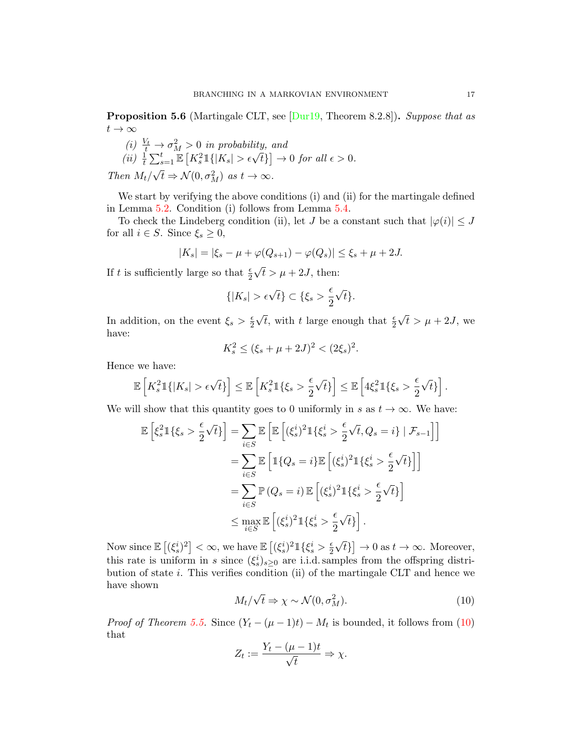<span id="page-16-1"></span>**Proposition 5.6** (Martingale CLT, see  $\lceil \text{Dur19}, \text{Theorem 8.2.8} \rceil$ ). Suppose that as  $t\rightarrow\infty$ 

(i) 
$$
\frac{V_t}{t} \to \sigma_M^2 > 0
$$
 in probability, and  
\n(ii)  $\frac{1}{t} \sum_{s=1}^t \mathbb{E}\left[K_s^2 \mathbb{1}\{|K_s| > \epsilon \sqrt{t}\}\right] \to 0$  for all  $\epsilon > 0$ .  
\nThen  $M_t/\sqrt{t} \Rightarrow \mathcal{N}(0, \sigma_M^2)$  as  $t \to \infty$ .

We start by verifying the above conditions (i) and (ii) for the martingale defined in Lemma [5.2.](#page-12-1) Condition (i) follows from Lemma [5.4.](#page-13-0)

To check the Lindeberg condition (ii), let J be a constant such that  $|\varphi(i)| \leq J$ for all  $i \in S$ . Since  $\xi_s \geq 0$ ,

$$
|K_s| = |\xi_s - \mu + \varphi(Q_{s+1}) - \varphi(Q_s)| \le \xi_s + \mu + 2J.
$$

If t is sufficiently large so that  $\frac{\epsilon}{2}$  $t > \mu + 2J$ , then:

$$
\{|K_s| > \epsilon \sqrt{t}\} \subset \{\xi_s > \frac{\epsilon}{2}\sqrt{t}\}.
$$

In addition, on the event  $\xi_s > \frac{\epsilon}{2}$ 2  $\sqrt{t}$ , with t large enough that  $\frac{\epsilon}{2}$ √  $t > \mu + 2J$ , we have:

$$
K_s^2 \le (\xi_s + \mu + 2J)^2 < (2\xi_s)^2.
$$

Hence we have:

$$
\mathbb{E}\left[K_s^21\{|K_s| > \epsilon\sqrt{t}\}\right] \le \mathbb{E}\left[K_s^21\{\xi_s > \frac{\epsilon}{2}\sqrt{t}\}\right] \le \mathbb{E}\left[4\xi_s^21\{\xi_s > \frac{\epsilon}{2}\sqrt{t}\}\right].
$$

We will show that this quantity goes to 0 uniformly in s as  $t \to \infty$ . We have:

$$
\mathbb{E}\left[\xi_s^2 \mathbb{1}\{\xi_s > \frac{\epsilon}{2}\sqrt{t}\}\right] = \sum_{i \in S} \mathbb{E}\left[\mathbb{E}\left[(\xi_s^i)^2 \mathbb{1}\{\xi_s^i > \frac{\epsilon}{2}\sqrt{t}, Q_s = i\} \mid \mathcal{F}_{s-1}\right]\right]
$$

$$
= \sum_{i \in S} \mathbb{E}\left[\mathbb{1}\{Q_s = i\} \mathbb{E}\left[(\xi_s^i)^2 \mathbb{1}\{\xi_s^i > \frac{\epsilon}{2}\sqrt{t}\}\right]\right]
$$

$$
= \sum_{i \in S} \mathbb{P}\left(Q_s = i\right) \mathbb{E}\left[(\xi_s^i)^2 \mathbb{1}\{\xi_s^i > \frac{\epsilon}{2}\sqrt{t}\}\right]
$$

$$
\leq \max_{i \in S} \mathbb{E}\left[(\xi_s^i)^2 \mathbb{1}\{\xi_s^i > \frac{\epsilon}{2}\sqrt{t}\}\right].
$$

<span id="page-16-0"></span>Now since  $\mathbb{E}[(\xi_s^i)^2]<\infty$ , we have  $\mathbb{E}[(\xi_s^i)^21\{\xi_s^i>\frac{\epsilon}{2}$ 2 √  $\{\bar{t}\}\}\rightarrow 0$  as  $t\rightarrow \infty$ . Moreover, this rate is uniform in s since  $(\xi_s^i)_{s\geq 0}$  are i.i.d. samples from the offspring distribution of state  $i$ . This verifies condition (ii) of the martingale CLT and hence we have shown √

$$
M_t/\sqrt{t} \Rightarrow \chi \sim \mathcal{N}(0, \sigma_M^2). \tag{10}
$$

*Proof of Theorem [5.5.](#page-15-2)* Since  $(Y_t - (\mu - 1)t) - M_t$  is bounded, it follows from [\(10\)](#page-16-0) that

$$
Z_t := \frac{Y_t - (\mu - 1)t}{\sqrt{t}} \Rightarrow \chi.
$$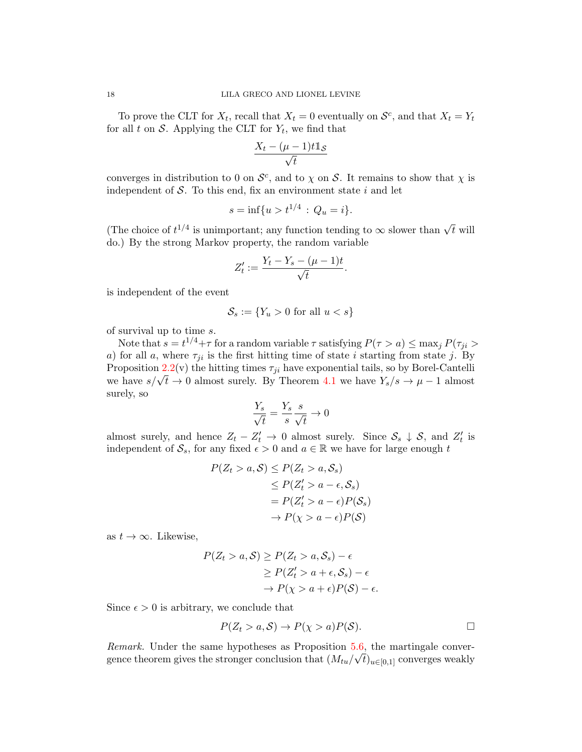To prove the CLT for  $X_t$ , recall that  $X_t = 0$  eventually on  $\mathcal{S}^c$ , and that  $X_t = Y_t$ for all t on  $S$ . Applying the CLT for  $Y_t$ , we find that

$$
\frac{X_t - (\mu - 1)t\mathbb{1}_{\mathcal{S}}}{\sqrt{t}}
$$

converges in distribution to 0 on  $\mathcal{S}^c$ , and to  $\chi$  on  $\mathcal{S}$ . It remains to show that  $\chi$  is independent of  $S$ . To this end, fix an environment state i and let

$$
s = \inf\{u > t^{1/4} : Q_u = i\}.
$$

(The choice of  $t^{1/4}$  is unimportant; any function tending to  $\infty$  slower than  $\sqrt{t}$  will do.) By the strong Markov property, the random variable

$$
Z'_t := \frac{Y_t - Y_s - (\mu - 1)t}{\sqrt{t}}.
$$

is independent of the event

$$
\mathcal{S}_s := \{ Y_u > 0 \text{ for all } u < s \}
$$

of survival up to time s.

Note that  $s = t^{1/4} + \tau$  for a random variable  $\tau$  satisfying  $P(\tau > a) \leq \max_j P(\tau_{ji} > a)$ a) for all a, where  $\tau_{ji}$  is the first hitting time of state i starting from state j. By Proposition [2.2\(](#page-5-1)v) the hitting times  $\tau_{ji}$  have exponential tails, so by Borel-Cantelli r roposition 2.2(v) the initial times  $\tau_{ji}$  have exponential tans, so by Borei-Cantent we have  $s/\sqrt{t} \to 0$  almost surely. By Theorem [4.1](#page-10-1) we have  $Y_s/s \to \mu - 1$  almost surely, so

$$
\frac{Y_s}{\sqrt{t}} = \frac{Y_s}{s} \frac{s}{\sqrt{t}} \to 0
$$

almost surely, and hence  $Z_t - Z'_t \to 0$  almost surely. Since  $S_s \downarrow S$ , and  $Z'_t$  is independent of  $S_s$ , for any fixed  $\epsilon > 0$  and  $a \in \mathbb{R}$  we have for large enough t

$$
P(Z_t > a, S) \le P(Z_t > a, S_s)
$$
  
\n
$$
\le P(Z'_t > a - \epsilon, S_s)
$$
  
\n
$$
= P(Z'_t > a - \epsilon)P(S_s)
$$
  
\n
$$
\to P(\chi > a - \epsilon)P(S)
$$

as  $t \to \infty$ . Likewise,

$$
P(Z_t > a, S) \ge P(Z_t > a, S_s) - \epsilon
$$
  
\n
$$
\ge P(Z'_t > a + \epsilon, S_s) - \epsilon
$$
  
\n
$$
\to P(\chi > a + \epsilon)P(S) - \epsilon.
$$

Since  $\epsilon > 0$  is arbitrary, we conclude that

$$
P(Z_t > a, S) \to P(\chi > a)P(S).
$$

*Remark.* Under the same hypotheses as Proposition  $5.6$ , the martingale convergence theorem gives the stronger conclusion that  $(M_{tu}/\sqrt{t})_{u\in[0,1]}$  converges weakly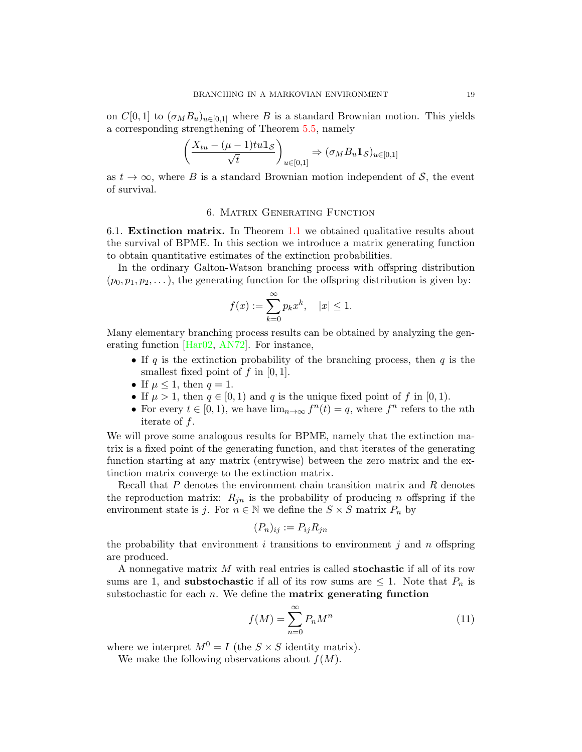on  $C[0,1]$  to  $(\sigma_M B_u)_{u \in [0,1]}$  where B is a standard Brownian motion. This yields a corresponding strengthening of Theorem [5.5,](#page-15-2) namely

$$
\left(\frac{X_{tu} - (\mu - 1)tu\mathbb{1}_{\mathcal{S}}}{\sqrt{t}}\right)_{u \in [0,1]} \Rightarrow (\sigma_M B_u \mathbb{1}_{\mathcal{S}})_{u \in [0,1]}
$$

as  $t \to \infty$ , where B is a standard Brownian motion independent of S, the event of survival.

### 6. Matrix Generating Function

<span id="page-18-0"></span>6.1. Extinction matrix. In Theorem [1.1](#page-2-1) we obtained qualitative results about the survival of BPME. In this section we introduce a matrix generating function to obtain quantitative estimates of the extinction probabilities.

In the ordinary Galton-Watson branching process with offspring distribution  $(p_0, p_1, p_2, \ldots)$ , the generating function for the offspring distribution is given by:

$$
f(x) := \sum_{k=0}^{\infty} p_k x^k, \quad |x| \le 1.
$$

Many elementary branching process results can be obtained by analyzing the generating function [\[Har02,](#page-25-0) [AN72\]](#page-25-1). For instance,

- If q is the extinction probability of the branching process, then  $q$  is the smallest fixed point of  $f$  in [0, 1].
- If  $\mu \leq 1$ , then  $q = 1$ .
- If  $\mu > 1$ , then  $q \in [0, 1)$  and q is the unique fixed point of f in [0, 1).
- For every  $t \in [0, 1)$ , we have  $\lim_{n \to \infty} f^n(t) = q$ , where  $f^n$  refers to the *n*th iterate of f.

We will prove some analogous results for BPME, namely that the extinction matrix is a fixed point of the generating function, and that iterates of the generating function starting at any matrix (entrywise) between the zero matrix and the extinction matrix converge to the extinction matrix.

Recall that  $P$  denotes the environment chain transition matrix and  $R$  denotes the reproduction matrix:  $R_{jn}$  is the probability of producing n offspring if the environment state is j. For  $n \in \mathbb{N}$  we define the  $S \times S$  matrix  $P_n$  by

$$
(P_n)_{ij} := P_{ij} R_{jn}
$$

the probability that environment i transitions to environment j and n offspring are produced.

A nonnegative matrix M with real entries is called stochastic if all of its row sums are 1, and **substochastic** if all of its row sums are  $\leq 1$ . Note that  $P_n$  is substochastic for each  $n$ . We define the **matrix generating function** 

<span id="page-18-1"></span>
$$
f(M) = \sum_{n=0}^{\infty} P_n M^n
$$
\n(11)

where we interpret  $M^0 = I$  (the  $S \times S$  identity matrix).

We make the following observations about  $f(M)$ .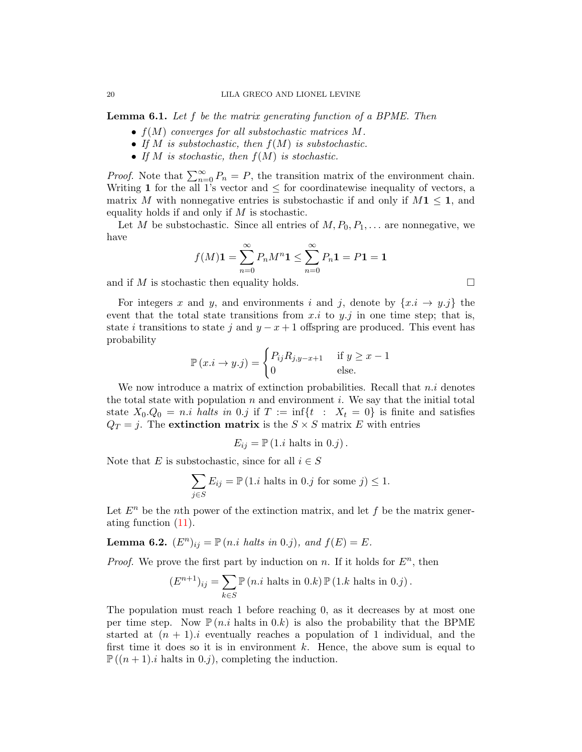Lemma 6.1. Let f be the matrix generating function of a BPME. Then

- $f(M)$  converges for all substochastic matrices M.
- If M is substochastic, then  $f(M)$  is substochastic.
- If  $M$  is stochastic, then  $f(M)$  is stochastic.

*Proof.* Note that  $\sum_{n=0}^{\infty} P_n = P$ , the transition matrix of the environment chain. Writing 1 for the all 1's vector and  $\leq$  for coordinatewise inequality of vectors, a matrix M with nonnegative entries is substochastic if and only if  $M1 \leq 1$ , and equality holds if and only if  $M$  is stochastic.

Let M be substochastic. Since all entries of  $M, P_0, P_1, \ldots$  are nonnegative, we have

$$
f(M)\mathbf{1} = \sum_{n=0}^{\infty} P_n M^n \mathbf{1} \le \sum_{n=0}^{\infty} P_n \mathbf{1} = P \mathbf{1} = \mathbf{1}
$$

and if M is stochastic then equality holds.  $\square$ 

For integers x and y, and environments i and j, denote by  $\{x.i \rightarrow y.j\}$  the event that the total state transitions from  $x.i$  to  $y.j$  in one time step; that is, state i transitions to state j and  $y - x + 1$  offspring are produced. This event has probability

$$
\mathbb{P}(x.i \to y.j) = \begin{cases} P_{ij}R_{j,y-x+1} & \text{if } y \ge x-1\\ 0 & \text{else.} \end{cases}
$$

We now introduce a matrix of extinction probabilities. Recall that  $n.i$  denotes the total state with population n and environment i. We say that the initial total state  $X_0 \cdot Q_0 = n \cdot i$  halts in 0.j if  $T := \inf\{t : X_t = 0\}$  is finite and satisfies  $Q_T = j$ . The extinction matrix is the  $S \times S$  matrix E with entries

$$
E_{ij} = \mathbb{P}(1.i \text{ halts in } 0.j).
$$

Note that E is substochastic, since for all  $i \in S$ 

$$
\sum_{j \in S} E_{ij} = \mathbb{P} \left( 1.i \text{ halts in } 0.j \text{ for some } j \right) \le 1.
$$

Let  $E<sup>n</sup>$  be the nth power of the extinction matrix, and let f be the matrix generating function [\(11\)](#page-18-1).

**Lemma 6.2.**  $(E^n)_{ij} = \mathbb{P}(n.i \ halts \ in \ 0.j)$ , and  $f(E) = E$ .

*Proof.* We prove the first part by induction on n. If it holds for  $E<sup>n</sup>$ , then

$$
(E^{n+1})_{ij} = \sum_{k \in S} \mathbb{P}(n.i \text{ halts in } 0.k) \mathbb{P}(1.k \text{ halts in } 0.j).
$$

The population must reach 1 before reaching 0, as it decreases by at most one per time step. Now  $\mathbb{P}(n.i$  halts in 0.k) is also the probability that the BPME started at  $(n + 1)$ . i eventually reaches a population of 1 individual, and the first time it does so it is in environment  $k$ . Hence, the above sum is equal to  $\mathbb{P}((n+1).i)$  halts in 0.j), completing the induction.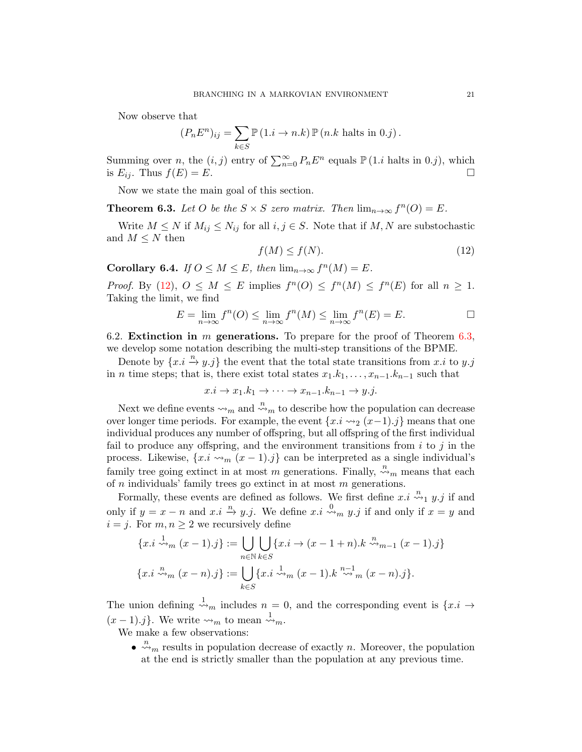Now observe that

$$
(P_n E^n)_{ij} = \sum_{k \in S} \mathbb{P} (1.i \to n.k) \, \mathbb{P} (n.k \text{ halts in } 0.j).
$$

Summing over *n*, the  $(i, j)$  entry of  $\sum_{n=0}^{\infty} P_n E^n$  equals  $\mathbb{P} (1.i$  halts in 0.j), which is  $E_{ij}$ . Thus  $f(E) = E$ .

Now we state the main goal of this section.

<span id="page-20-1"></span>**Theorem 6.3.** Let O be the  $S \times S$  zero matrix. Then  $\lim_{n \to \infty} f^{n}(O) = E$ .

Write  $M \leq N$  if  $M_{ij} \leq N_{ij}$  for all  $i, j \in S$ . Note that if  $M, N$  are substochastic and  $M \leq N$  then

<span id="page-20-0"></span>
$$
f(M) \le f(N). \tag{12}
$$

Corollary 6.4. If  $0 \leq M \leq E$ , then  $\lim_{n \to \infty} f^{n}(M) = E$ .

Proof. By [\(12\)](#page-20-0),  $0 \leq M \leq E$  implies  $f^{n}(0) \leq f^{n}(M) \leq f^{n}(E)$  for all  $n \geq 1$ . Taking the limit, we find

$$
E = \lim_{n \to \infty} f^{n}(O) \le \lim_{n \to \infty} f^{n}(M) \le \lim_{n \to \infty} f^{n}(E) = E.
$$

6.2. Extinction in  $m$  generations. To prepare for the proof of Theorem [6.3,](#page-20-1) we develop some notation describing the multi-step transitions of the BPME.

Denote by  $\{x.i \stackrel{n}{\rightarrow} y.j\}$  the event that the total state transitions from x.i to y.j in *n* time steps; that is, there exist total states  $x_1.k_1, \ldots, x_{n-1}.k_{n-1}$  such that

$$
x.i \to x_1.k_1 \to \cdots \to x_{n-1}.k_{n-1} \to y.j.
$$

Next we define events  $\leadsto_m$  and  $\overset{n}{\leadsto}_m$  to describe how the population can decrease over longer time periods. For example, the event  $\{x.i \leadsto_2 (x-1).j\}$  means that one individual produces any number of offspring, but all offspring of the first individual fail to produce any offspring, and the environment transitions from  $i$  to  $j$  in the process. Likewise,  $\{x.i \leadsto_m (x-1).j\}$  can be interpreted as a single individual's family tree going extinct in at most m generations. Finally,  $\stackrel{n}{\leadsto}$  means that each of  $n$  individuals' family trees go extinct in at most  $m$  generations.

Formally, these events are defined as follows. We first define  $x_i \stackrel{n}{\leadsto_1} y_i$  if and only if  $y = x - n$  and  $x \in \mathbb{R}^n$  we define  $x \in \mathbb{R}^n$   $y \in \mathbb{R}^n$  if and only if  $x = y$  and  $i = j$ . For  $m, n \geq 2$  we recursively define

$$
\{x.i \xrightarrow{n} (x-1).j\} := \bigcup_{n \in \mathbb{N}} \bigcup_{k \in S} \{x.i \to (x-1+n).k \xrightarrow{n} {n-1} (x-1).j\}
$$

$$
\{x.i \xrightarrow{n} (x-n).j\} := \bigcup_{k \in S} \{x.i \xrightarrow{n} (x-1).k \xrightarrow{n-1} {n-1} (x-n).j\}.
$$

The union defining  $\stackrel{1}{\leadsto} m$  includes  $n = 0$ , and the corresponding event is  $\{x \cdot i \to \infty\}$  $(x-1)$ .j. We write  $\leadsto_m$  to mean  $\overset{1}{\leadsto}_m$ .

We make a few observations:

 $\bullet \stackrel{n}{\leadsto}_m$  results in population decrease of exactly n. Moreover, the population at the end is strictly smaller than the population at any previous time.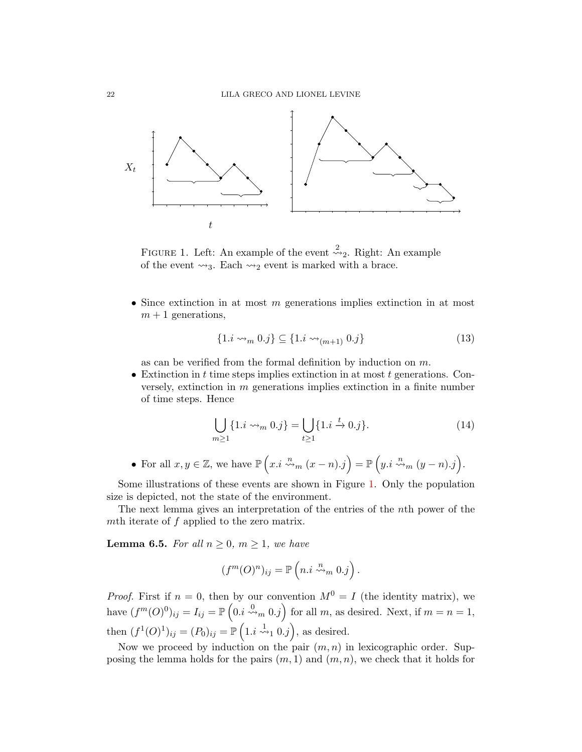

<span id="page-21-0"></span>FIGURE 1. Left: An example of the event  $\stackrel{2}{\leadsto}$  Right: An example of the event  $\rightsquigarrow_3$ . Each  $\rightsquigarrow_2$  event is marked with a brace.

• Since extinction in at most m generations implies extinction in at most  $m + 1$  generations,

<span id="page-21-2"></span>
$$
\{1.i \leadsto_m 0.j\} \subseteq \{1.i \leadsto_{(m+1)} 0.j\}
$$
\n
$$
(13)
$$

as can be verified from the formal definition by induction on  $m$ .

• Extinction in  $t$  time steps implies extinction in at most  $t$  generations. Conversely, extinction in m generations implies extinction in a finite number of time steps. Hence

<span id="page-21-1"></span>
$$
\bigcup_{m\geq 1} \{1.i \leadsto_m 0.j\} = \bigcup_{t\geq 1} \{1.i \stackrel{t}{\to} 0.j\}.
$$
 (14)

• For all  $x, y \in \mathbb{Z}$ , we have  $\mathbb{P}\left(x, i \stackrel{n}{\leadsto}_m (x-n).j\right) = \mathbb{P}\left(y, i \stackrel{n}{\leadsto}_m (y-n).j\right)$ .

Some illustrations of these events are shown in Figure [1.](#page-21-0) Only the population size is depicted, not the state of the environment.

The next lemma gives an interpretation of the entries of the nth power of the mth iterate of f applied to the zero matrix.

<span id="page-21-3"></span>**Lemma 6.5.** For all  $n \geq 0$ ,  $m \geq 1$ , we have

$$
(f^m(O)^n)_{ij} = \mathbb{P}\left(n.i \stackrel{n}{\leadsto_m} 0.j\right).
$$

*Proof.* First if  $n = 0$ , then by our convention  $M^0 = I$  (the identity matrix), we have  $(f^m(O)^0)_{ij} = I_{ij} = \mathbb{P}\left(0, i \stackrel{0}{\leadsto_m} 0, j\right)$  for all m, as desired. Next, if  $m = n = 1$ , then  $(f^1(0)^1)_{ij} = (P_0)_{ij} = \mathbb{P}\left(1, i \stackrel{1}{\leadsto_1} 0, j\right)$ , as desired.

Now we proceed by induction on the pair  $(m, n)$  in lexicographic order. Supposing the lemma holds for the pairs  $(m, 1)$  and  $(m, n)$ , we check that it holds for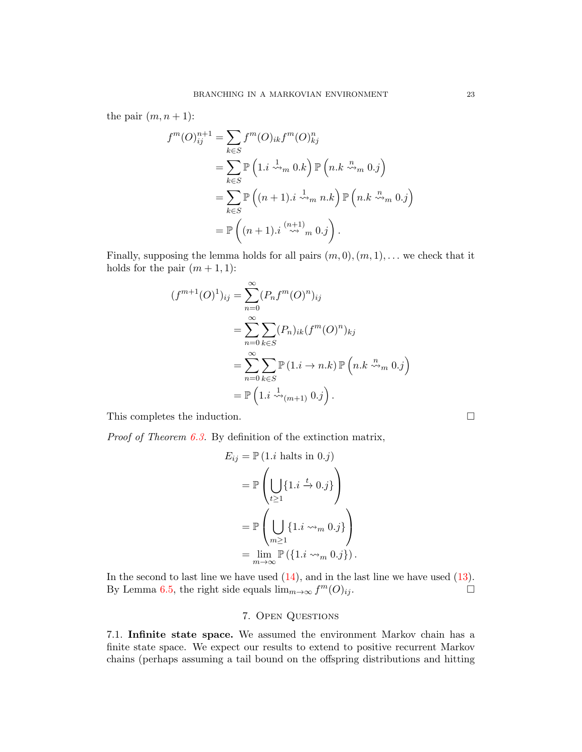the pair  $(m, n+1)$ :

$$
f^{m}(O)_{ij}^{n+1} = \sum_{k \in S} f^{m}(O)_{ik} f^{m}(O)_{kj}^{n}
$$
  
= 
$$
\sum_{k \in S} \mathbb{P} \left( 1 \, i \stackrel{1}{\leadsto}_{m} 0 \, k \right) \mathbb{P} \left( n \, k \stackrel{n}{\leadsto}_{m} 0 \, j \right)
$$
  
= 
$$
\sum_{k \in S} \mathbb{P} \left( (n+1) \, i \stackrel{1}{\leadsto}_{m} n \, k \right) \mathbb{P} \left( n \, k \stackrel{n}{\leadsto}_{m} 0 \, j \right)
$$
  
= 
$$
\mathbb{P} \left( (n+1) \, i \stackrel{(n+1)}{\leadsto}_{m} 0 \, j \right).
$$

Finally, supposing the lemma holds for all pairs  $(m, 0), (m, 1), \ldots$  we check that it holds for the pair  $(m + 1, 1)$ :

$$
(f^{m+1}(O)^1)_{ij} = \sum_{n=0}^{\infty} (P_n f^m(O)^n)_{ij}
$$
  
= 
$$
\sum_{n=0}^{\infty} \sum_{k \in S} (P_n)_{ik} (f^m(O)^n)_{kj}
$$
  
= 
$$
\sum_{n=0}^{\infty} \sum_{k \in S} \mathbb{P} (1.i \to n.k) \mathbb{P} (n.k \stackrel{n}{\leadsto} m 0.j)
$$
  
= 
$$
\mathbb{P} (1.i \stackrel{1}{\leadsto} (m+1) 0.j).
$$

This completes the induction.  $\Box$ 

*Proof of Theorem [6.3.](#page-20-1)* By definition of the extinction matrix,

$$
E_{ij} = \mathbb{P} (1.i \text{ halts in } 0.j)
$$
  
=  $\mathbb{P} \left( \bigcup_{t \ge 1} \{1.i \stackrel{t}{\to} 0.j\} \right)$   
=  $\mathbb{P} \left( \bigcup_{m \ge 1} \{1.i \leadsto_m 0.j\} \right)$   
=  $\lim_{m \to \infty} \mathbb{P} (\{1.i \leadsto_m 0.j\}).$ 

In the second to last line we have used  $(14)$ , and in the last line we have used  $(13)$ . By Lemma [6.5,](#page-21-3) the right side equals  $\lim_{m\to\infty} f^m(O)_{ij}$ .

# 7. Open Questions

<span id="page-22-0"></span>7.1. Infinite state space. We assumed the environment Markov chain has a finite state space. We expect our results to extend to positive recurrent Markov chains (perhaps assuming a tail bound on the offspring distributions and hitting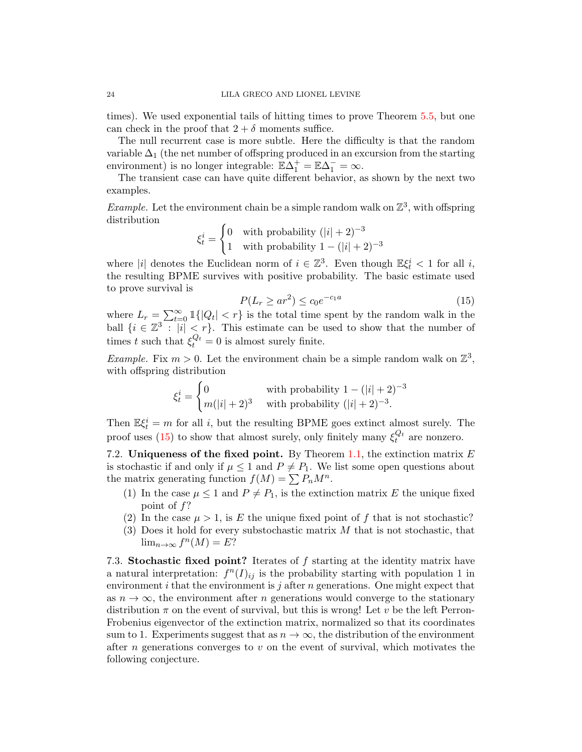times). We used exponential tails of hitting times to prove Theorem [5.5,](#page-15-2) but one can check in the proof that  $2 + \delta$  moments suffice.

The null recurrent case is more subtle. Here the difficulty is that the random variable  $\Delta_1$  (the net number of offspring produced in an excursion from the starting environment) is no longer integrable:  $\mathbb{E}\Delta_1^+ = \mathbb{E}\Delta_1^- = \infty$ .

The transient case can have quite different behavior, as shown by the next two examples.

*Example.* Let the environment chain be a simple random walk on  $\mathbb{Z}^3$ , with offspring distribution

$$
\xi_t^i = \begin{cases} 0 & \text{with probability } (|i|+2)^{-3} \\ 1 & \text{with probability } 1 - (|i|+2)^{-3} \end{cases}
$$

where |i| denotes the Euclidean norm of  $i \in \mathbb{Z}^3$ . Even though  $\mathbb{E} \xi_t^i < 1$  for all i, the resulting BPME survives with positive probability. The basic estimate used to prove survival is

<span id="page-23-0"></span>
$$
P(L_r \ge ar^2) \le c_0 e^{-c_1 a} \tag{15}
$$

where  $L_r = \sum_{t=0}^{\infty} \mathbb{1}\{|Q_t| < r\}$  is the total time spent by the random walk in the ball  $\{i \in \mathbb{Z}^3 : |i| < r\}$ . This estimate can be used to show that the number of times t such that  $\xi_t^{Q_t} = 0$  is almost surely finite.

*Example.* Fix  $m > 0$ . Let the environment chain be a simple random walk on  $\mathbb{Z}^3$ , with offspring distribution

$$
\xi_t^i = \begin{cases} 0 & \text{with probability } 1 - (|i| + 2)^{-3} \\ m(|i| + 2)^3 & \text{with probability } (|i| + 2)^{-3} \end{cases}
$$

Then  $\mathbb{E}\xi_t^i = m$  for all i, but the resulting BPME goes extinct almost surely. The proof uses [\(15\)](#page-23-0) to show that almost surely, only finitely many  $\xi_t^{Q_t}$  are nonzero.

7.2. Uniqueness of the fixed point. By Theorem [1.1,](#page-2-1) the extinction matrix  $E$ is stochastic if and only if  $\mu \leq 1$  and  $P \neq P_1$ . We list some open questions about the matrix generating function  $f(M) = \sum P_n M^n$ .

- (1) In the case  $\mu \leq 1$  and  $P \neq P_1$ , is the extinction matrix E the unique fixed point of f?
- (2) In the case  $\mu > 1$ , is E the unique fixed point of f that is not stochastic?
- (3) Does it hold for every substochastic matrix  $M$  that is not stochastic, that  $\lim_{n\to\infty} f^n(M) = E?$

7.3. Stochastic fixed point? Iterates of f starting at the identity matrix have a natural interpretation:  $f^{n}(I)_{ij}$  is the probability starting with population 1 in environment  $i$  that the environment is  $j$  after  $n$  generations. One might expect that as  $n \to \infty$ , the environment after n generations would converge to the stationary distribution  $\pi$  on the event of survival, but this is wrong! Let v be the left Perron-Frobenius eigenvector of the extinction matrix, normalized so that its coordinates sum to 1. Experiments suggest that as  $n \to \infty$ , the distribution of the environment after *n* generations converges to  $v$  on the event of survival, which motivates the following conjecture.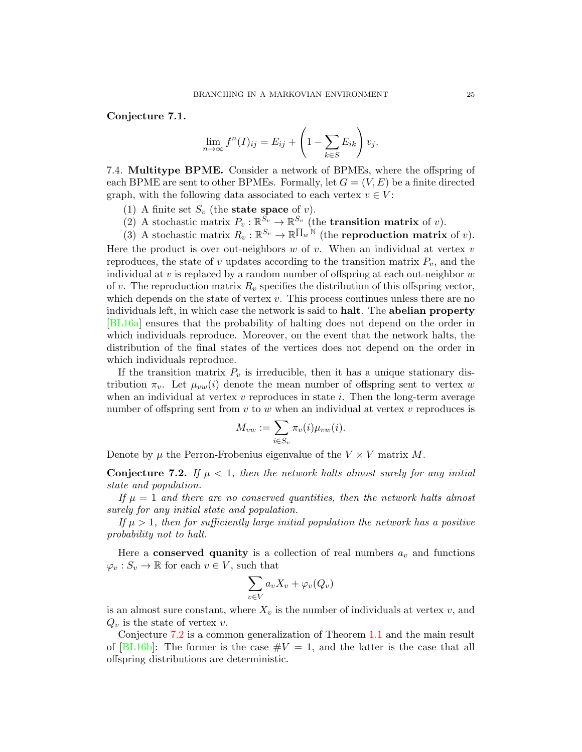Conjecture 7.1.

$$
\lim_{n \to \infty} f^{n}(I)_{ij} = E_{ij} + \left(1 - \sum_{k \in S} E_{ik}\right) v_{j}.
$$

7.4. Multitype BPME. Consider a network of BPMEs, where the offspring of each BPME are sent to other BPMEs. Formally, let  $G = (V, E)$  be a finite directed graph, with the following data associated to each vertex  $v \in V$ :

- (1) A finite set  $S_v$  (the **state space** of v).
- (2) A stochastic matrix  $P_v : \mathbb{R}^{S_v} \to \mathbb{R}^{S_v}$  (the **transition matrix** of v).

(3) A stochastic matrix  $R_v : \mathbb{R}^{S_v} \to \mathbb{R}^{\prod_w \mathbb{N}}$  (the **reproduction matrix** of v).

Here the product is over out-neighbors  $w$  of  $v$ . When an individual at vertex  $v$ reproduces, the state of v updates according to the transition matrix  $P_v$ , and the individual at  $v$  is replaced by a random number of offspring at each out-neighbor  $w$ of v. The reproduction matrix  $R_v$  specifies the distribution of this offspring vector, which depends on the state of vertex  $v$ . This process continues unless there are no individuals left, in which case the network is said to halt. The abelian property [\[BL16a\]](#page-25-11) ensures that the probability of halting does not depend on the order in which individuals reproduce. Moreover, on the event that the network halts, the distribution of the final states of the vertices does not depend on the order in which individuals reproduce.

If the transition matrix  $P_v$  is irreducible, then it has a unique stationary distribution  $\pi_v$ . Let  $\mu_{vw}(i)$  denote the mean number of offspring sent to vertex w when an individual at vertex  $v$  reproduces in state  $i$ . Then the long-term average number of offspring sent from  $v$  to  $w$  when an individual at vertex  $v$  reproduces is

$$
M_{vw} := \sum_{i \in S_v} \pi_v(i) \mu_{vw}(i).
$$

Denote by  $\mu$  the Perron-Frobenius eigenvalue of the  $V \times V$  matrix M.

<span id="page-24-0"></span>**Conjecture 7.2.** If  $\mu < 1$ , then the network halts almost surely for any initial state and population.

If  $\mu = 1$  and there are no conserved quantities, then the network halts almost surely for any initial state and population.

If  $\mu > 1$ , then for sufficiently large initial population the network has a positive probability not to halt.

Here a **conserved quanity** is a collection of real numbers  $a_v$  and functions  $\varphi_v : S_v \to \mathbb{R}$  for each  $v \in V$ , such that

$$
\sum_{v \in V} a_v X_v + \varphi_v(Q_v)
$$

is an almost sure constant, where  $X_v$  is the number of individuals at vertex  $v$ , and  $Q_v$  is the state of vertex v.

Conjecture [7.2](#page-24-0) is a common generalization of Theorem [1.1](#page-2-1) and the main result of  $[BL16b]$ : The former is the case  $\#V = 1$ , and the latter is the case that all offspring distributions are deterministic.